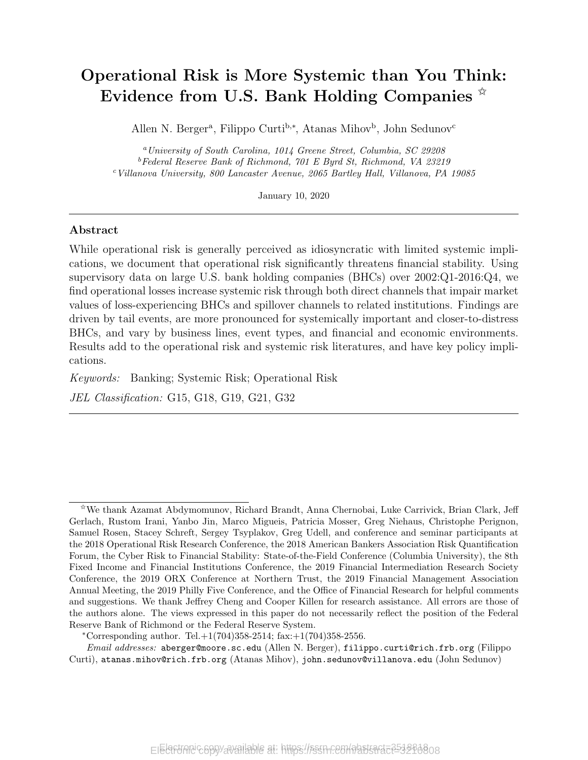## Operational Risk is More Systemic than You Think: Evidence from U.S. Bank Holding Companies  $\overline{x}$

Allen N. Berger<sup>a</sup>, Filippo Curti<sup>b,∗</sup>, Atanas Mihov<sup>b</sup>, John Sedunov<sup>c</sup>

<sup>a</sup>University of South Carolina, 1014 Greene Street, Columbia, SC 29208  $b$ Federal Reserve Bank of Richmond, 701 E Byrd St, Richmond, VA 23219 <sup>c</sup>Villanova University, 800 Lancaster Avenue, 2065 Bartley Hall, Villanova, PA 19085

January 10, 2020

### Abstract

While operational risk is generally perceived as idiosyncratic with limited systemic implications, we document that operational risk significantly threatens financial stability. Using supervisory data on large U.S. bank holding companies (BHCs) over 2002:Q1-2016:Q4, we find operational losses increase systemic risk through both direct channels that impair market values of loss-experiencing BHCs and spillover channels to related institutions. Findings are driven by tail events, are more pronounced for systemically important and closer-to-distress BHCs, and vary by business lines, event types, and financial and economic environments. Results add to the operational risk and systemic risk literatures, and have key policy implications.

Keywords: Banking; Systemic Risk; Operational Risk

JEL Classification: G15, G18, G19, G21, G32

\*Corresponding author. Tel. $+1(704)358-2514$ ; fax: $+1(704)358-2556$ .

Email addresses: aberger@moore.sc.edu (Allen N. Berger), filippo.curti@rich.frb.org (Filippo Curti), atanas.mihov@rich.frb.org (Atanas Mihov), john.sedunov@villanova.edu (John Sedunov)

<sup>✩</sup>We thank Azamat Abdymomunov, Richard Brandt, Anna Chernobai, Luke Carrivick, Brian Clark, Jeff Gerlach, Rustom Irani, Yanbo Jin, Marco Migueis, Patricia Mosser, Greg Niehaus, Christophe Perignon, Samuel Rosen, Stacey Schreft, Sergey Tsyplakov, Greg Udell, and conference and seminar participants at the 2018 Operational Risk Research Conference, the 2018 American Bankers Association Risk Quantification Forum, the Cyber Risk to Financial Stability: State-of-the-Field Conference (Columbia University), the 8th Fixed Income and Financial Institutions Conference, the 2019 Financial Intermediation Research Society Conference, the 2019 ORX Conference at Northern Trust, the 2019 Financial Management Association Annual Meeting, the 2019 Philly Five Conference, and the Office of Financial Research for helpful comments and suggestions. We thank Jeffrey Cheng and Cooper Killen for research assistance. All errors are those of the authors alone. The views expressed in this paper do not necessarily reflect the position of the Federal Reserve Bank of Richmond or the Federal Reserve System.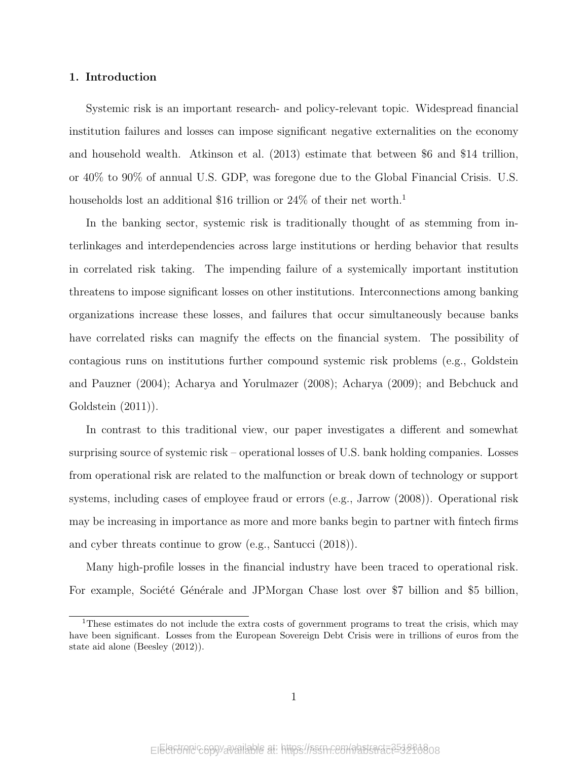### 1. Introduction

Systemic risk is an important research- and policy-relevant topic. Widespread financial institution failures and losses can impose significant negative externalities on the economy and household wealth. Atkinson et al. (2013) estimate that between \$6 and \$14 trillion, or 40% to 90% of annual U.S. GDP, was foregone due to the Global Financial Crisis. U.S. households lost an additional \$16 trillion or  $24\%$  of their net worth.<sup>1</sup>

In the banking sector, systemic risk is traditionally thought of as stemming from interlinkages and interdependencies across large institutions or herding behavior that results in correlated risk taking. The impending failure of a systemically important institution threatens to impose significant losses on other institutions. Interconnections among banking organizations increase these losses, and failures that occur simultaneously because banks have correlated risks can magnify the effects on the financial system. The possibility of contagious runs on institutions further compound systemic risk problems (e.g., Goldstein and Pauzner (2004); Acharya and Yorulmazer (2008); Acharya (2009); and Bebchuck and Goldstein (2011)).

In contrast to this traditional view, our paper investigates a different and somewhat surprising source of systemic risk – operational losses of U.S. bank holding companies. Losses from operational risk are related to the malfunction or break down of technology or support systems, including cases of employee fraud or errors (e.g., Jarrow (2008)). Operational risk may be increasing in importance as more and more banks begin to partner with fintech firms and cyber threats continue to grow (e.g., Santucci (2018)).

Many high-profile losses in the financial industry have been traced to operational risk. For example, Société Générale and JPMorgan Chase lost over \$7 billion and \$5 billion,

<sup>&</sup>lt;sup>1</sup>These estimates do not include the extra costs of government programs to treat the crisis, which may have been significant. Losses from the European Sovereign Debt Crisis were in trillions of euros from the state aid alone (Beesley (2012)).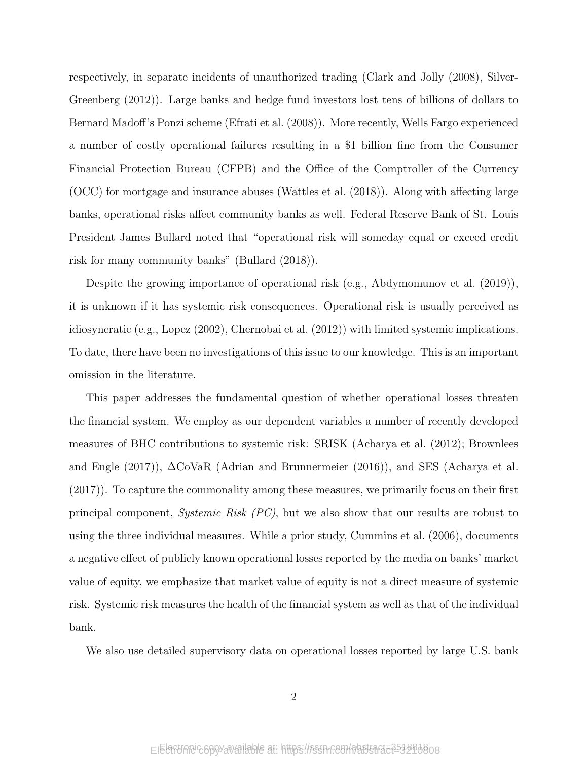respectively, in separate incidents of unauthorized trading (Clark and Jolly (2008), Silver-Greenberg (2012)). Large banks and hedge fund investors lost tens of billions of dollars to Bernard Madoff's Ponzi scheme (Efrati et al. (2008)). More recently, Wells Fargo experienced a number of costly operational failures resulting in a \$1 billion fine from the Consumer Financial Protection Bureau (CFPB) and the Office of the Comptroller of the Currency (OCC) for mortgage and insurance abuses (Wattles et al. (2018)). Along with affecting large banks, operational risks affect community banks as well. Federal Reserve Bank of St. Louis President James Bullard noted that "operational risk will someday equal or exceed credit risk for many community banks" (Bullard (2018)).

Despite the growing importance of operational risk (e.g., Abdymomunov et al. (2019)), it is unknown if it has systemic risk consequences. Operational risk is usually perceived as idiosyncratic (e.g., Lopez (2002), Chernobai et al. (2012)) with limited systemic implications. To date, there have been no investigations of this issue to our knowledge. This is an important omission in the literature.

This paper addresses the fundamental question of whether operational losses threaten the financial system. We employ as our dependent variables a number of recently developed measures of BHC contributions to systemic risk: SRISK (Acharya et al. (2012); Brownlees and Engle (2017)),  $\Delta \text{CoVaR}$  (Adrian and Brunnermeier (2016)), and SES (Acharya et al. (2017)). To capture the commonality among these measures, we primarily focus on their first principal component, Systemic Risk (PC), but we also show that our results are robust to using the three individual measures. While a prior study, Cummins et al. (2006), documents a negative effect of publicly known operational losses reported by the media on banks' market value of equity, we emphasize that market value of equity is not a direct measure of systemic risk. Systemic risk measures the health of the financial system as well as that of the individual bank.

We also use detailed supervisory data on operational losses reported by large U.S. bank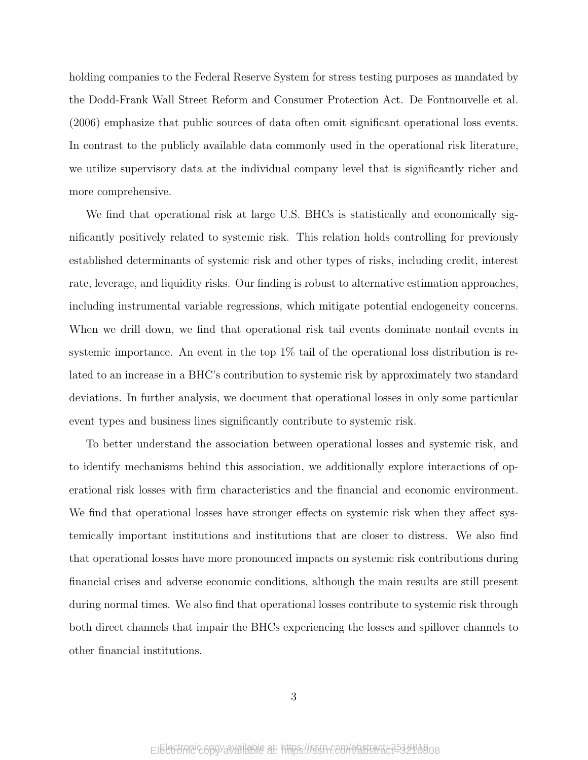holding companies to the Federal Reserve System for stress testing purposes as mandated by the Dodd-Frank Wall Street Reform and Consumer Protection Act. De Fontnouvelle et al. (2006) emphasize that public sources of data often omit significant operational loss events. In contrast to the publicly available data commonly used in the operational risk literature, we utilize supervisory data at the individual company level that is significantly richer and more comprehensive.

We find that operational risk at large U.S. BHCs is statistically and economically significantly positively related to systemic risk. This relation holds controlling for previously established determinants of systemic risk and other types of risks, including credit, interest rate, leverage, and liquidity risks. Our finding is robust to alternative estimation approaches, including instrumental variable regressions, which mitigate potential endogeneity concerns. When we drill down, we find that operational risk tail events dominate nontail events in systemic importance. An event in the top 1% tail of the operational loss distribution is related to an increase in a BHC's contribution to systemic risk by approximately two standard deviations. In further analysis, we document that operational losses in only some particular event types and business lines significantly contribute to systemic risk.

To better understand the association between operational losses and systemic risk, and to identify mechanisms behind this association, we additionally explore interactions of operational risk losses with firm characteristics and the financial and economic environment. We find that operational losses have stronger effects on systemic risk when they affect systemically important institutions and institutions that are closer to distress. We also find that operational losses have more pronounced impacts on systemic risk contributions during financial crises and adverse economic conditions, although the main results are still present during normal times. We also find that operational losses contribute to systemic risk through both direct channels that impair the BHCs experiencing the losses and spillover channels to other financial institutions.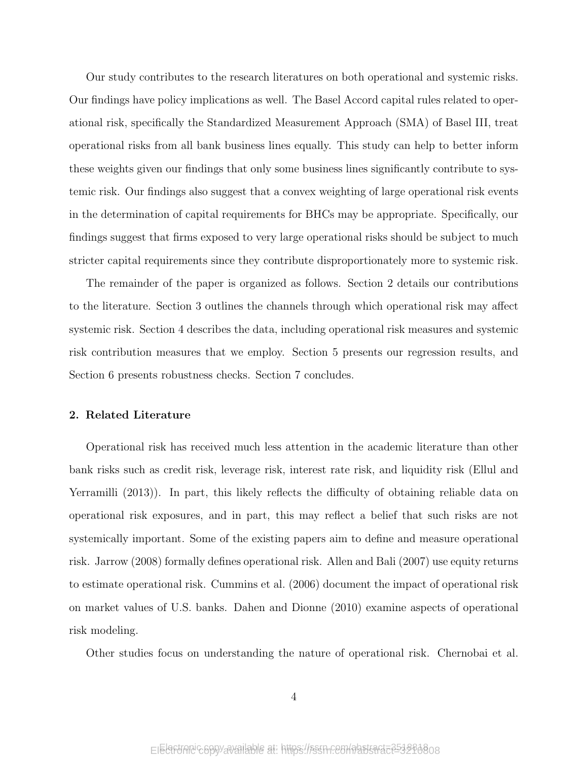Our study contributes to the research literatures on both operational and systemic risks. Our findings have policy implications as well. The Basel Accord capital rules related to operational risk, specifically the Standardized Measurement Approach (SMA) of Basel III, treat operational risks from all bank business lines equally. This study can help to better inform these weights given our findings that only some business lines significantly contribute to systemic risk. Our findings also suggest that a convex weighting of large operational risk events in the determination of capital requirements for BHCs may be appropriate. Specifically, our findings suggest that firms exposed to very large operational risks should be subject to much stricter capital requirements since they contribute disproportionately more to systemic risk.

The remainder of the paper is organized as follows. Section 2 details our contributions to the literature. Section 3 outlines the channels through which operational risk may affect systemic risk. Section 4 describes the data, including operational risk measures and systemic risk contribution measures that we employ. Section 5 presents our regression results, and Section 6 presents robustness checks. Section 7 concludes.

### 2. Related Literature

Operational risk has received much less attention in the academic literature than other bank risks such as credit risk, leverage risk, interest rate risk, and liquidity risk (Ellul and Yerramilli (2013)). In part, this likely reflects the difficulty of obtaining reliable data on operational risk exposures, and in part, this may reflect a belief that such risks are not systemically important. Some of the existing papers aim to define and measure operational risk. Jarrow (2008) formally defines operational risk. Allen and Bali (2007) use equity returns to estimate operational risk. Cummins et al. (2006) document the impact of operational risk on market values of U.S. banks. Dahen and Dionne (2010) examine aspects of operational risk modeling.

Other studies focus on understanding the nature of operational risk. Chernobai et al.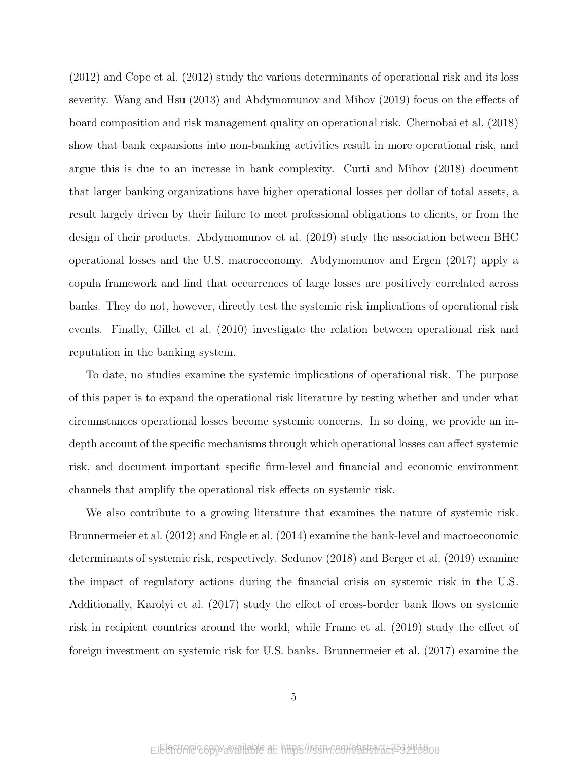(2012) and Cope et al. (2012) study the various determinants of operational risk and its loss severity. Wang and Hsu (2013) and Abdymomunov and Mihov (2019) focus on the effects of board composition and risk management quality on operational risk. Chernobai et al. (2018) show that bank expansions into non-banking activities result in more operational risk, and argue this is due to an increase in bank complexity. Curti and Mihov (2018) document that larger banking organizations have higher operational losses per dollar of total assets, a result largely driven by their failure to meet professional obligations to clients, or from the design of their products. Abdymomunov et al. (2019) study the association between BHC operational losses and the U.S. macroeconomy. Abdymomunov and Ergen (2017) apply a copula framework and find that occurrences of large losses are positively correlated across banks. They do not, however, directly test the systemic risk implications of operational risk events. Finally, Gillet et al. (2010) investigate the relation between operational risk and reputation in the banking system.

To date, no studies examine the systemic implications of operational risk. The purpose of this paper is to expand the operational risk literature by testing whether and under what circumstances operational losses become systemic concerns. In so doing, we provide an indepth account of the specific mechanisms through which operational losses can affect systemic risk, and document important specific firm-level and financial and economic environment channels that amplify the operational risk effects on systemic risk.

We also contribute to a growing literature that examines the nature of systemic risk. Brunnermeier et al. (2012) and Engle et al. (2014) examine the bank-level and macroeconomic determinants of systemic risk, respectively. Sedunov (2018) and Berger et al. (2019) examine the impact of regulatory actions during the financial crisis on systemic risk in the U.S. Additionally, Karolyi et al. (2017) study the effect of cross-border bank flows on systemic risk in recipient countries around the world, while Frame et al. (2019) study the effect of foreign investment on systemic risk for U.S. banks. Brunnermeier et al. (2017) examine the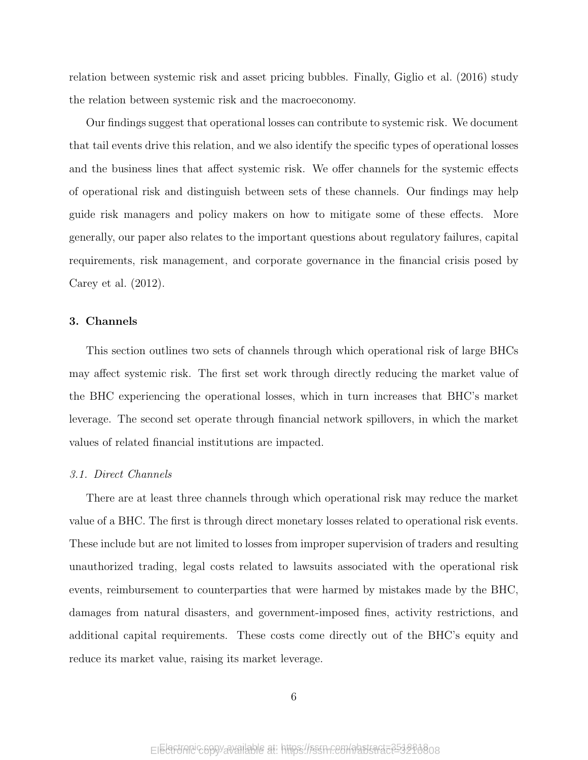relation between systemic risk and asset pricing bubbles. Finally, Giglio et al. (2016) study the relation between systemic risk and the macroeconomy.

Our findings suggest that operational losses can contribute to systemic risk. We document that tail events drive this relation, and we also identify the specific types of operational losses and the business lines that affect systemic risk. We offer channels for the systemic effects of operational risk and distinguish between sets of these channels. Our findings may help guide risk managers and policy makers on how to mitigate some of these effects. More generally, our paper also relates to the important questions about regulatory failures, capital requirements, risk management, and corporate governance in the financial crisis posed by Carey et al. (2012).

### 3. Channels

This section outlines two sets of channels through which operational risk of large BHCs may affect systemic risk. The first set work through directly reducing the market value of the BHC experiencing the operational losses, which in turn increases that BHC's market leverage. The second set operate through financial network spillovers, in which the market values of related financial institutions are impacted.

### 3.1. Direct Channels

There are at least three channels through which operational risk may reduce the market value of a BHC. The first is through direct monetary losses related to operational risk events. These include but are not limited to losses from improper supervision of traders and resulting unauthorized trading, legal costs related to lawsuits associated with the operational risk events, reimbursement to counterparties that were harmed by mistakes made by the BHC, damages from natural disasters, and government-imposed fines, activity restrictions, and additional capital requirements. These costs come directly out of the BHC's equity and reduce its market value, raising its market leverage.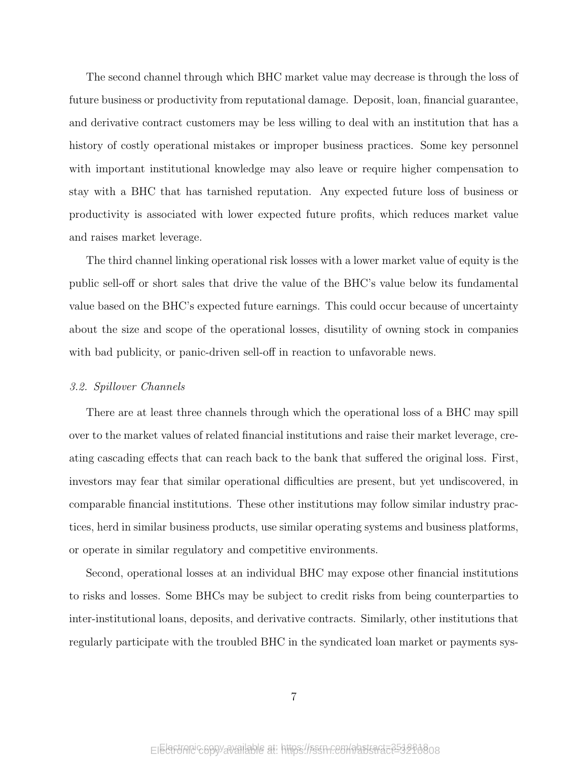The second channel through which BHC market value may decrease is through the loss of future business or productivity from reputational damage. Deposit, loan, financial guarantee, and derivative contract customers may be less willing to deal with an institution that has a history of costly operational mistakes or improper business practices. Some key personnel with important institutional knowledge may also leave or require higher compensation to stay with a BHC that has tarnished reputation. Any expected future loss of business or productivity is associated with lower expected future profits, which reduces market value and raises market leverage.

The third channel linking operational risk losses with a lower market value of equity is the public sell-off or short sales that drive the value of the BHC's value below its fundamental value based on the BHC's expected future earnings. This could occur because of uncertainty about the size and scope of the operational losses, disutility of owning stock in companies with bad publicity, or panic-driven sell-off in reaction to unfavorable news.

### 3.2. Spillover Channels

There are at least three channels through which the operational loss of a BHC may spill over to the market values of related financial institutions and raise their market leverage, creating cascading effects that can reach back to the bank that suffered the original loss. First, investors may fear that similar operational difficulties are present, but yet undiscovered, in comparable financial institutions. These other institutions may follow similar industry practices, herd in similar business products, use similar operating systems and business platforms, or operate in similar regulatory and competitive environments.

Second, operational losses at an individual BHC may expose other financial institutions to risks and losses. Some BHCs may be subject to credit risks from being counterparties to inter-institutional loans, deposits, and derivative contracts. Similarly, other institutions that regularly participate with the troubled BHC in the syndicated loan market or payments sys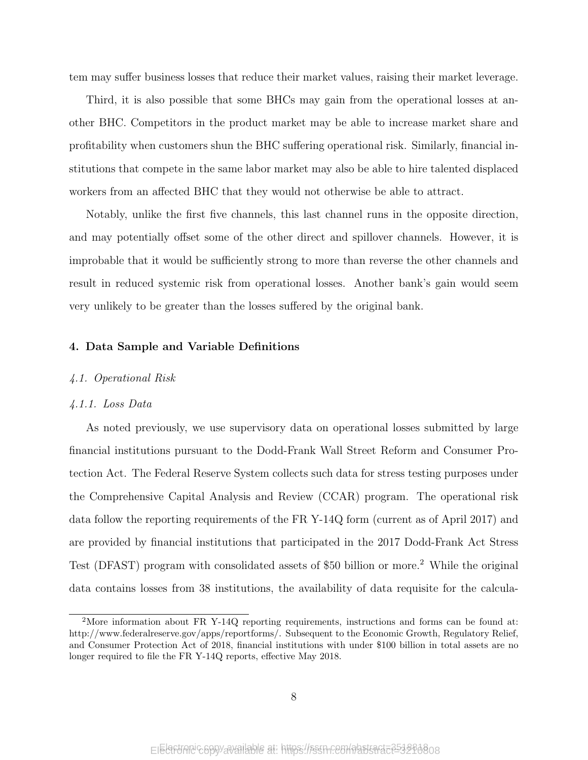tem may suffer business losses that reduce their market values, raising their market leverage.

Third, it is also possible that some BHCs may gain from the operational losses at another BHC. Competitors in the product market may be able to increase market share and profitability when customers shun the BHC suffering operational risk. Similarly, financial institutions that compete in the same labor market may also be able to hire talented displaced workers from an affected BHC that they would not otherwise be able to attract.

Notably, unlike the first five channels, this last channel runs in the opposite direction, and may potentially offset some of the other direct and spillover channels. However, it is improbable that it would be sufficiently strong to more than reverse the other channels and result in reduced systemic risk from operational losses. Another bank's gain would seem very unlikely to be greater than the losses suffered by the original bank.

### 4. Data Sample and Variable Definitions

### 4.1. Operational Risk

### 4.1.1. Loss Data

As noted previously, we use supervisory data on operational losses submitted by large financial institutions pursuant to the Dodd-Frank Wall Street Reform and Consumer Protection Act. The Federal Reserve System collects such data for stress testing purposes under the Comprehensive Capital Analysis and Review (CCAR) program. The operational risk data follow the reporting requirements of the FR Y-14Q form (current as of April 2017) and are provided by financial institutions that participated in the 2017 Dodd-Frank Act Stress Test (DFAST) program with consolidated assets of \$50 billion or more.<sup>2</sup> While the original data contains losses from 38 institutions, the availability of data requisite for the calcula-

<sup>&</sup>lt;sup>2</sup>More information about FR Y-14Q reporting requirements, instructions and forms can be found at: http://www.federalreserve.gov/apps/reportforms/. Subsequent to the Economic Growth, Regulatory Relief, and Consumer Protection Act of 2018, financial institutions with under \$100 billion in total assets are no longer required to file the FR Y-14Q reports, effective May 2018.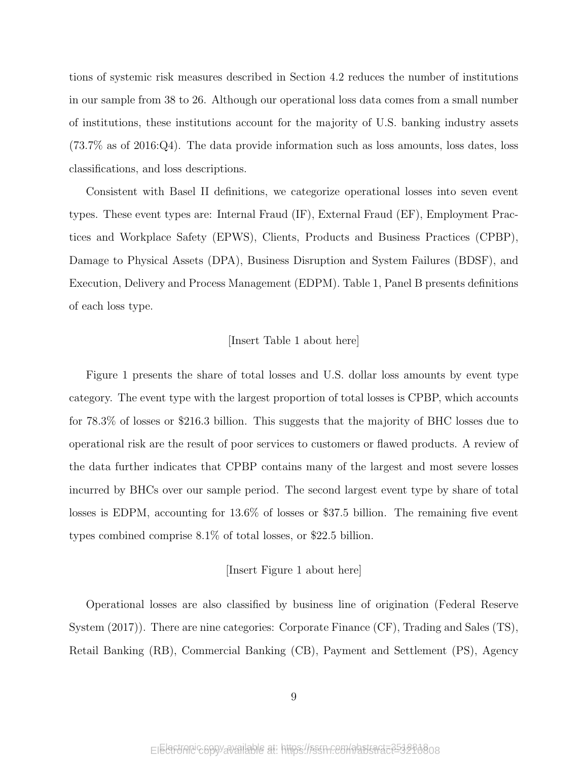tions of systemic risk measures described in Section 4.2 reduces the number of institutions in our sample from 38 to 26. Although our operational loss data comes from a small number of institutions, these institutions account for the majority of U.S. banking industry assets (73.7% as of 2016:Q4). The data provide information such as loss amounts, loss dates, loss classifications, and loss descriptions.

Consistent with Basel II definitions, we categorize operational losses into seven event types. These event types are: Internal Fraud (IF), External Fraud (EF), Employment Practices and Workplace Safety (EPWS), Clients, Products and Business Practices (CPBP), Damage to Physical Assets (DPA), Business Disruption and System Failures (BDSF), and Execution, Delivery and Process Management (EDPM). Table 1, Panel B presents definitions of each loss type.

### [Insert Table 1 about here]

Figure 1 presents the share of total losses and U.S. dollar loss amounts by event type category. The event type with the largest proportion of total losses is CPBP, which accounts for 78.3% of losses or \$216.3 billion. This suggests that the majority of BHC losses due to operational risk are the result of poor services to customers or flawed products. A review of the data further indicates that CPBP contains many of the largest and most severe losses incurred by BHCs over our sample period. The second largest event type by share of total losses is EDPM, accounting for 13.6% of losses or \$37.5 billion. The remaining five event types combined comprise 8.1% of total losses, or \$22.5 billion.

### [Insert Figure 1 about here]

Operational losses are also classified by business line of origination (Federal Reserve System (2017)). There are nine categories: Corporate Finance (CF), Trading and Sales (TS), Retail Banking (RB), Commercial Banking (CB), Payment and Settlement (PS), Agency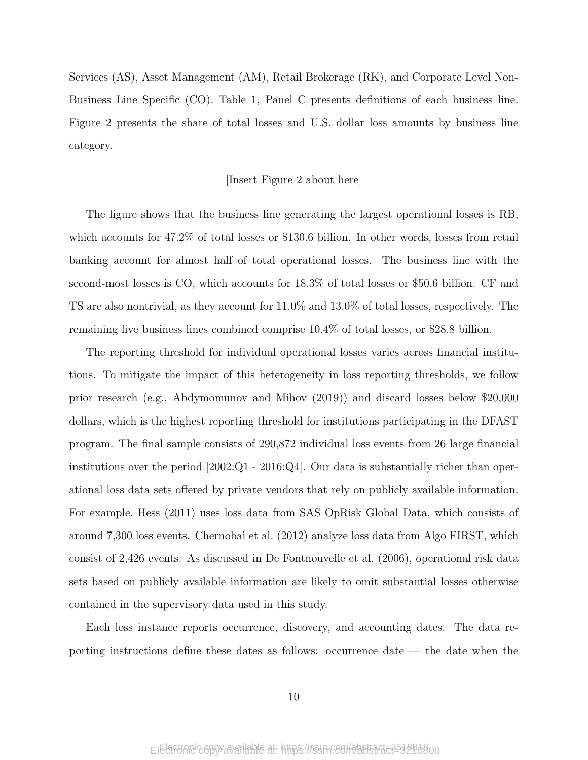Services (AS), Asset Management (AM), Retail Brokerage (RK), and Corporate Level Non-Business Line Specific (CO). Table 1, Panel C presents definitions of each business line. Figure 2 presents the share of total losses and U.S. dollar loss amounts by business line category.

### [Insert Figure 2 about here]

The figure shows that the business line generating the largest operational losses is RB, which accounts for 47.2% of total losses or \$130.6 billion. In other words, losses from retail banking account for almost half of total operational losses. The business line with the second-most losses is CO, which accounts for 18.3% of total losses or \$50.6 billion. CF and TS are also nontrivial, as they account for 11.0% and 13.0% of total losses, respectively. The remaining five business lines combined comprise 10.4% of total losses, or \$28.8 billion.

The reporting threshold for individual operational losses varies across financial institutions. To mitigate the impact of this heterogeneity in loss reporting thresholds, we follow prior research (e.g., Abdymomunov and Mihov (2019)) and discard losses below \$20,000 dollars, which is the highest reporting threshold for institutions participating in the DFAST program. The final sample consists of 290,872 individual loss events from 26 large financial institutions over the period  $[2002:Q1 - 2016:Q4]$ . Our data is substantially richer than operational loss data sets offered by private vendors that rely on publicly available information. For example, Hess (2011) uses loss data from SAS OpRisk Global Data, which consists of around 7,300 loss events. Chernobai et al. (2012) analyze loss data from Algo FIRST, which consist of 2,426 events. As discussed in De Fontnouvelle et al. (2006), operational risk data sets based on publicly available information are likely to omit substantial losses otherwise contained in the supervisory data used in this study.

Each loss instance reports occurrence, discovery, and accounting dates. The data reporting instructions define these dates as follows: occurrence date — the date when the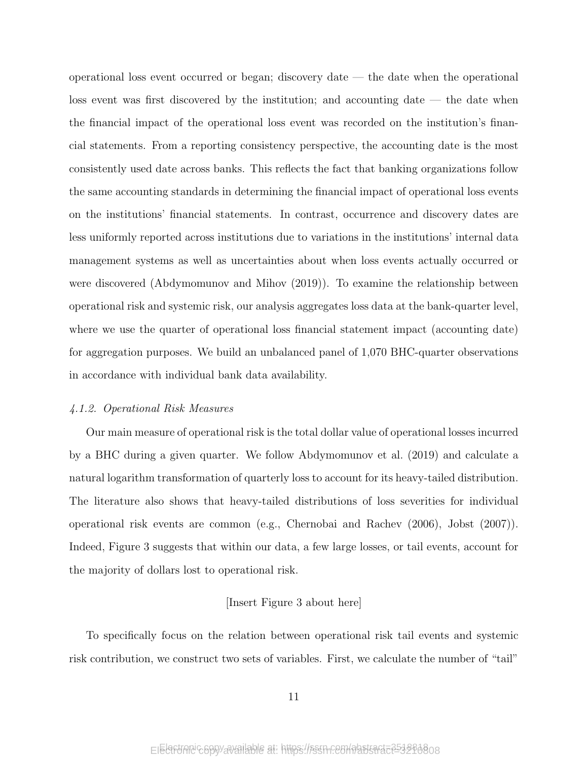operational loss event occurred or began; discovery date — the date when the operational loss event was first discovered by the institution; and accounting date  $-$  the date when the financial impact of the operational loss event was recorded on the institution's financial statements. From a reporting consistency perspective, the accounting date is the most consistently used date across banks. This reflects the fact that banking organizations follow the same accounting standards in determining the financial impact of operational loss events on the institutions' financial statements. In contrast, occurrence and discovery dates are less uniformly reported across institutions due to variations in the institutions' internal data management systems as well as uncertainties about when loss events actually occurred or were discovered (Abdymomunov and Mihov (2019)). To examine the relationship between operational risk and systemic risk, our analysis aggregates loss data at the bank-quarter level, where we use the quarter of operational loss financial statement impact (accounting date) for aggregation purposes. We build an unbalanced panel of 1,070 BHC-quarter observations in accordance with individual bank data availability.

### 4.1.2. Operational Risk Measures

Our main measure of operational risk is the total dollar value of operational losses incurred by a BHC during a given quarter. We follow Abdymomunov et al. (2019) and calculate a natural logarithm transformation of quarterly loss to account for its heavy-tailed distribution. The literature also shows that heavy-tailed distributions of loss severities for individual operational risk events are common (e.g., Chernobai and Rachev (2006), Jobst (2007)). Indeed, Figure 3 suggests that within our data, a few large losses, or tail events, account for the majority of dollars lost to operational risk.

### [Insert Figure 3 about here]

To specifically focus on the relation between operational risk tail events and systemic risk contribution, we construct two sets of variables. First, we calculate the number of "tail"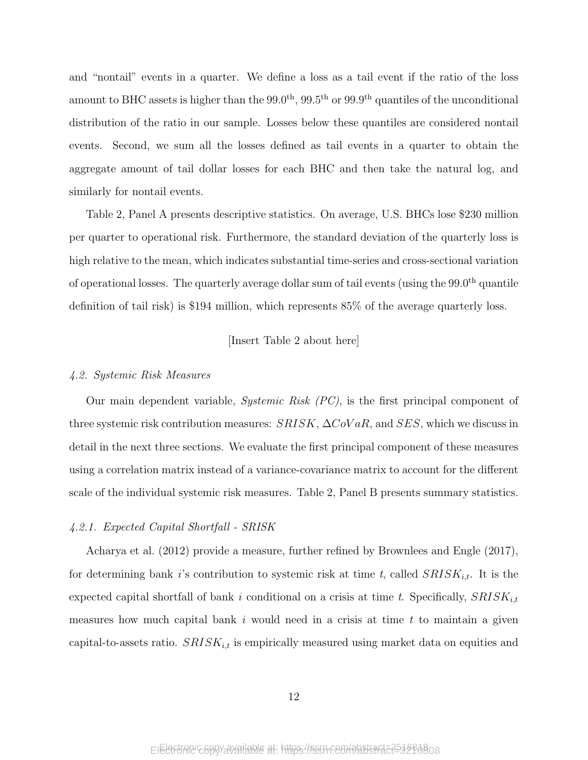and "nontail" events in a quarter. We define a loss as a tail event if the ratio of the loss amount to BHC assets is higher than the  $99.0<sup>th</sup>$ ,  $99.5<sup>th</sup>$  or  $99.9<sup>th</sup>$  quantiles of the unconditional distribution of the ratio in our sample. Losses below these quantiles are considered nontail events. Second, we sum all the losses defined as tail events in a quarter to obtain the aggregate amount of tail dollar losses for each BHC and then take the natural log, and similarly for nontail events.

Table 2, Panel A presents descriptive statistics. On average, U.S. BHCs lose \$230 million per quarter to operational risk. Furthermore, the standard deviation of the quarterly loss is high relative to the mean, which indicates substantial time-series and cross-sectional variation of operational losses. The quarterly average dollar sum of tail events (using the 99.0<sup>th</sup> quantile definition of tail risk) is \$194 million, which represents 85% of the average quarterly loss.

[Insert Table 2 about here]

### 4.2. Systemic Risk Measures

Our main dependent variable, Systemic Risk (PC), is the first principal component of three systemic risk contribution measures:  $SRISK$ ,  $\Delta CoVaR$ , and  $SES$ , which we discuss in detail in the next three sections. We evaluate the first principal component of these measures using a correlation matrix instead of a variance-covariance matrix to account for the different scale of the individual systemic risk measures. Table 2, Panel B presents summary statistics.

### 4.2.1. Expected Capital Shortfall - SRISK

Acharya et al. (2012) provide a measure, further refined by Brownlees and Engle (2017), for determining bank i's contribution to systemic risk at time t, called  $SRISK_{i,t}$ . It is the expected capital shortfall of bank i conditional on a crisis at time t. Specifically,  $SRISK_{i,t}$ measures how much capital bank  $i$  would need in a crisis at time  $t$  to maintain a given capital-to-assets ratio.  $SRISK_{i,t}$  is empirically measured using market data on equities and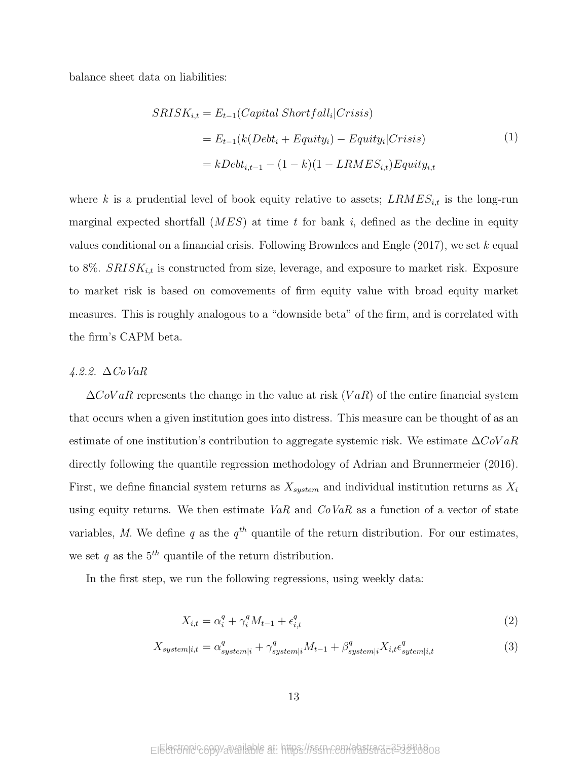balance sheet data on liabilities:

$$
SRISK_{i,t} = E_{t-1}(Capital\ Shortfall_i|Crisis)
$$
  
=  $E_{t-1}(k(Debt_i + Equity_i) - Equity_i|Crisis)$  (1)  
=  $kDebt_{i,t-1} - (1 - k)(1 - LRMES_{i,t})Equiv_{i,t}$ 

where k is a prudential level of book equity relative to assets;  $LRMES_{i,t}$  is the long-run marginal expected shortfall  $(MES)$  at time t for bank i, defined as the decline in equity values conditional on a financial crisis. Following Brownlees and Engle  $(2017)$ , we set k equal to 8%.  $SRISK_{i,t}$  is constructed from size, leverage, and exposure to market risk. Exposure to market risk is based on comovements of firm equity value with broad equity market measures. This is roughly analogous to a "downside beta" of the firm, and is correlated with the firm's CAPM beta.

### 4.2.2. ∆CoVaR

 $\Delta$ CoVaR represents the change in the value at risk (VaR) of the entire financial system that occurs when a given institution goes into distress. This measure can be thought of as an estimate of one institution's contribution to aggregate systemic risk. We estimate  $\Delta CoVaR$ directly following the quantile regression methodology of Adrian and Brunnermeier (2016). First, we define financial system returns as  $X_{system}$  and individual institution returns as  $X_i$ using equity returns. We then estimate VaR and  $CoVaR$  as a function of a vector of state variables, M. We define q as the  $q^{th}$  quantile of the return distribution. For our estimates, we set q as the  $5<sup>th</sup>$  quantile of the return distribution.

In the first step, we run the following regressions, using weekly data:

$$
X_{i,t} = \alpha_i^q + \gamma_i^q M_{t-1} + \epsilon_{i,t}^q \tag{2}
$$

$$
X_{system|i,t} = \alpha_{system|i}^q + \gamma_{system|i}^q M_{t-1} + \beta_{system|i}^q X_{i,t} \epsilon_{system|i,t}^q \tag{3}
$$

Electronic copy available at: https://ssrn.com/abstract=3518818 Electronic copy available at: https://ssrn.com/abstract=3210808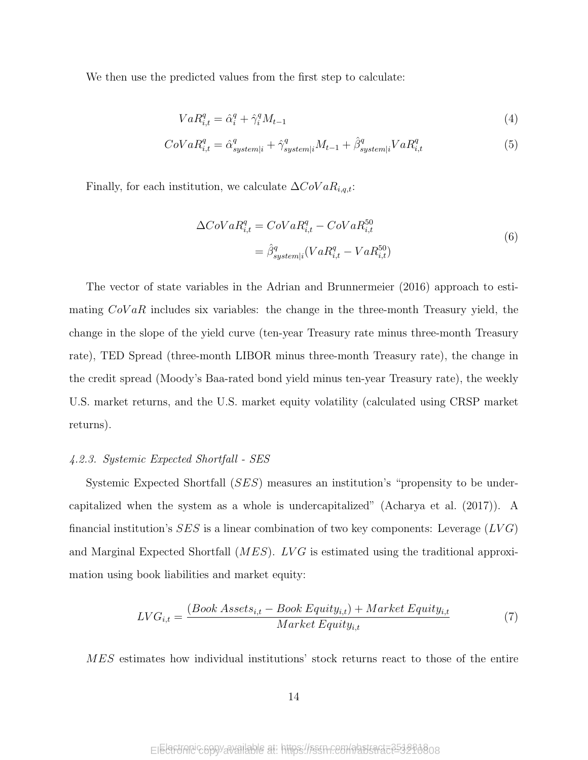We then use the predicted values from the first step to calculate:

$$
VaR_{i,t}^q = \hat{\alpha}_i^q + \hat{\gamma}_i^q M_{t-1}
$$
\n
$$
\tag{4}
$$

$$
CoVaR_{i,t}^{q} = \hat{\alpha}_{system|i}^{q} + \hat{\gamma}_{system|i}^{q}M_{t-1} + \hat{\beta}_{system|i}^{q}VaR_{i,t}^{q}
$$
\n
$$
\tag{5}
$$

Finally, for each institution, we calculate  $\Delta CoVaR_{i,q,t}$ :

$$
\Delta CoVaR_{i,t}^q = CoVaR_{i,t}^q - CoVaR_{i,t}^{50}
$$

$$
= \hat{\beta}_{system|i}^q (VaR_{i,t}^q - VaR_{i,t}^{50})
$$
(6)

The vector of state variables in the Adrian and Brunnermeier (2016) approach to estimating  $CoVaR$  includes six variables: the change in the three-month Treasury yield, the change in the slope of the yield curve (ten-year Treasury rate minus three-month Treasury rate), TED Spread (three-month LIBOR minus three-month Treasury rate), the change in the credit spread (Moody's Baa-rated bond yield minus ten-year Treasury rate), the weekly U.S. market returns, and the U.S. market equity volatility (calculated using CRSP market returns).

### 4.2.3. Systemic Expected Shortfall - SES

Systemic Expected Shortfall (SES) measures an institution's "propensity to be undercapitalized when the system as a whole is undercapitalized" (Acharya et al. (2017)). A financial institution's  $SES$  is a linear combination of two key components: Leverage  $(LVG)$ and Marginal Expected Shortfall  $(MES)$ . LVG is estimated using the traditional approximation using book liabilities and market equity:

$$
LVG_{i,t} = \frac{(Book\text{ Asset}_{i,t} - Book\text{ Equity}_{i,t}) + Market\text{ Equity}_{i,t}}{Market\text{ Equity}_{i,t}}
$$
\n(7)

MES estimates how individual institutions' stock returns react to those of the entire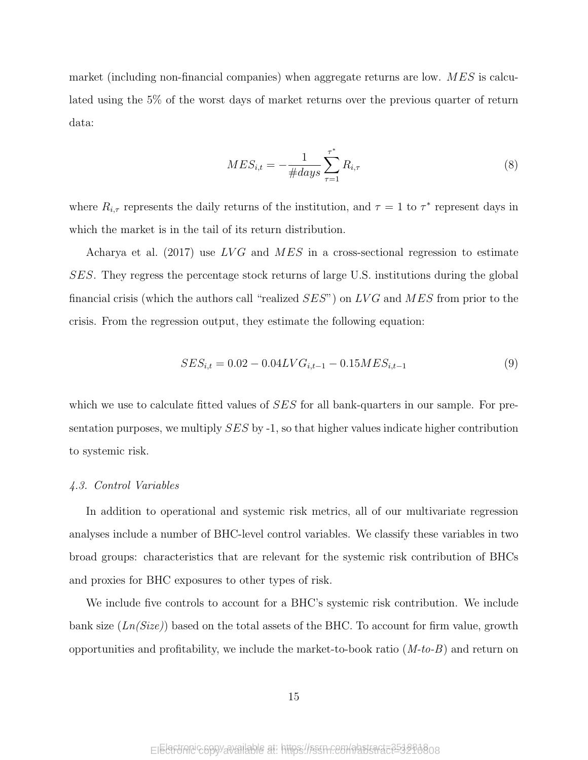market (including non-financial companies) when aggregate returns are low.  $MES$  is calculated using the 5% of the worst days of market returns over the previous quarter of return data:

$$
MES_{i,t} = -\frac{1}{\#days} \sum_{\tau=1}^{\tau^*} R_{i,\tau}
$$
 (8)

where  $R_{i,\tau}$  represents the daily returns of the institution, and  $\tau = 1$  to  $\tau^*$  represent days in which the market is in the tail of its return distribution.

Acharya et al. (2017) use  $LVG$  and  $MES$  in a cross-sectional regression to estimate SES. They regress the percentage stock returns of large U.S. institutions during the global financial crisis (which the authors call "realized  $SES$ ") on LVG and MES from prior to the crisis. From the regression output, they estimate the following equation:

$$
SES_{i,t} = 0.02 - 0.04LVG_{i,t-1} - 0.15MES_{i,t-1}
$$
\n(9)

which we use to calculate fitted values of SES for all bank-quarters in our sample. For presentation purposes, we multiply  $SES$  by  $-1$ , so that higher values indicate higher contribution to systemic risk.

### 4.3. Control Variables

In addition to operational and systemic risk metrics, all of our multivariate regression analyses include a number of BHC-level control variables. We classify these variables in two broad groups: characteristics that are relevant for the systemic risk contribution of BHCs and proxies for BHC exposures to other types of risk.

We include five controls to account for a BHC's systemic risk contribution. We include bank size  $(Ln(Size))$  based on the total assets of the BHC. To account for firm value, growth opportunities and profitability, we include the market-to-book ratio  $(M-to-B)$  and return on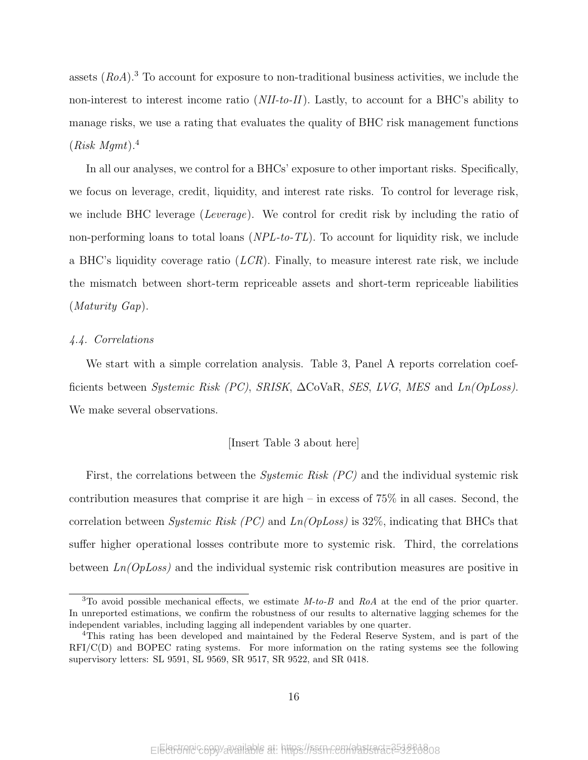assets  $(RoA)$ .<sup>3</sup> To account for exposure to non-traditional business activities, we include the non-interest to interest income ratio (NII-to-II). Lastly, to account for a BHC's ability to manage risks, we use a rating that evaluates the quality of BHC risk management functions  $(Risk\ Mqmt).<sup>4</sup>$ 

In all our analyses, we control for a BHCs' exposure to other important risks. Specifically, we focus on leverage, credit, liquidity, and interest rate risks. To control for leverage risk, we include BHC leverage (*Leverage*). We control for credit risk by including the ratio of non-performing loans to total loans  $(NPL-to-TL)$ . To account for liquidity risk, we include a BHC's liquidity coverage ratio  $(LCR)$ . Finally, to measure interest rate risk, we include the mismatch between short-term repriceable assets and short-term repriceable liabilities (Maturity Gap).

### 4.4. Correlations

We start with a simple correlation analysis. Table 3, Panel A reports correlation coefficients between Systemic Risk (PC), SRISK,  $\Delta$ CoVaR, SES, LVG, MES and Ln(OpLoss). We make several observations.

### [Insert Table 3 about here]

First, the correlations between the *Systemic Risk (PC)* and the individual systemic risk contribution measures that comprise it are high – in excess of  $75\%$  in all cases. Second, the correlation between *Systemic Risk (PC)* and  $Ln(OpLoss)$  is 32%, indicating that BHCs that suffer higher operational losses contribute more to systemic risk. Third, the correlations between  $Ln(OpLoss)$  and the individual systemic risk contribution measures are positive in

<sup>&</sup>lt;sup>3</sup>To avoid possible mechanical effects, we estimate  $M$ -to-B and RoA at the end of the prior quarter. In unreported estimations, we confirm the robustness of our results to alternative lagging schemes for the independent variables, including lagging all independent variables by one quarter.

<sup>4</sup>This rating has been developed and maintained by the Federal Reserve System, and is part of the RFI/C(D) and BOPEC rating systems. For more information on the rating systems see the following supervisory letters: SL 9591, SL 9569, SR 9517, SR 9522, and SR 0418.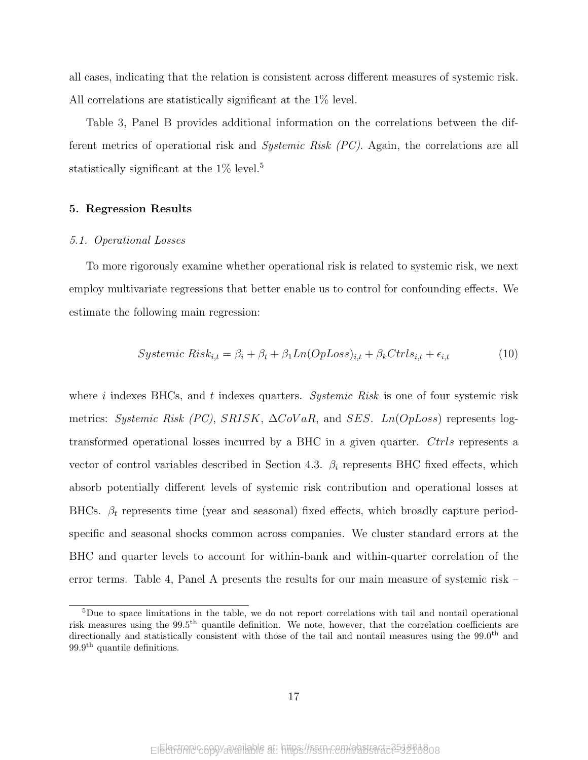all cases, indicating that the relation is consistent across different measures of systemic risk. All correlations are statistically significant at the 1% level.

Table 3, Panel B provides additional information on the correlations between the different metrics of operational risk and Systemic Risk (PC). Again, the correlations are all statistically significant at the  $1\%$  level.<sup>5</sup>

### 5. Regression Results

### 5.1. Operational Losses

To more rigorously examine whether operational risk is related to systemic risk, we next employ multivariate regressions that better enable us to control for confounding effects. We estimate the following main regression:

$$
Systemic Risk_{i,t} = \beta_i + \beta_t + \beta_1 Ln(OpLoss)_{i,t} + \beta_k Crls_{i,t} + \epsilon_{i,t}
$$
\n(10)

where i indexes BHCs, and t indexes quarters. Systemic Risk is one of four systemic risk metrics: Systemic Risk (PC), SRISK,  $\Delta CoVaR$ , and SES. Ln(OpLoss) represents logtransformed operational losses incurred by a BHC in a given quarter. Ctrls represents a vector of control variables described in Section 4.3.  $\beta_i$  represents BHC fixed effects, which absorb potentially different levels of systemic risk contribution and operational losses at BHCs.  $\beta_t$  represents time (year and seasonal) fixed effects, which broadly capture periodspecific and seasonal shocks common across companies. We cluster standard errors at the BHC and quarter levels to account for within-bank and within-quarter correlation of the error terms. Table 4, Panel A presents the results for our main measure of systemic risk –

 ${}^{5}$ Due to space limitations in the table, we do not report correlations with tail and nontail operational risk measures using the 99.5th quantile definition. We note, however, that the correlation coefficients are directionally and statistically consistent with those of the tail and nontail measures using the  $99.0<sup>th</sup>$  and 99.9th quantile definitions.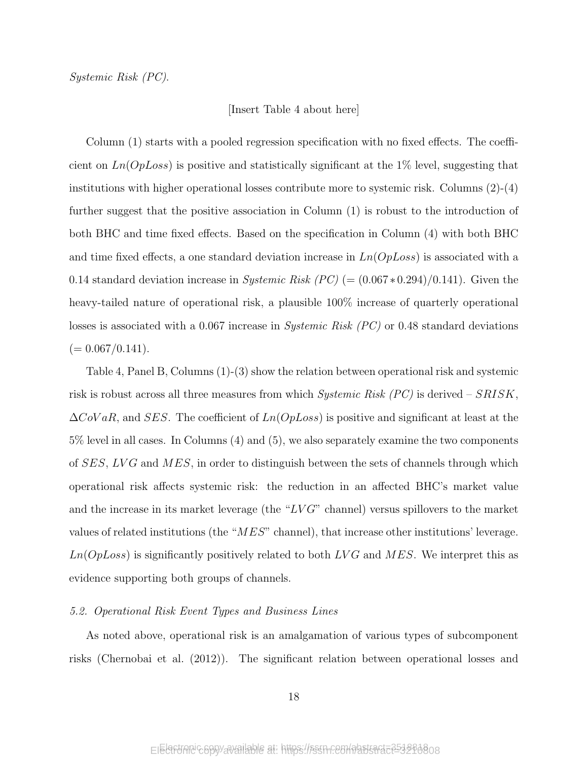### [Insert Table 4 about here]

Column (1) starts with a pooled regression specification with no fixed effects. The coefficient on  $Ln(OpLoss)$  is positive and statistically significant at the 1% level, suggesting that institutions with higher operational losses contribute more to systemic risk. Columns (2)-(4) further suggest that the positive association in Column (1) is robust to the introduction of both BHC and time fixed effects. Based on the specification in Column (4) with both BHC and time fixed effects, a one standard deviation increase in  $Ln(OpLoss)$  is associated with a 0.14 standard deviation increase in Systemic Risk  $(PC)$  (=  $(0.067*0.294)/0.141$ ). Given the heavy-tailed nature of operational risk, a plausible 100% increase of quarterly operational losses is associated with a 0.067 increase in *Systemic Risk (PC)* or 0.48 standard deviations  $(= 0.067/0.141).$ 

Table 4, Panel B, Columns (1)-(3) show the relation between operational risk and systemic risk is robust across all three measures from which Systemic Risk  $(PC)$  is derived – SRISK.  $\Delta$ CoVaR, and SES. The coefficient of  $Ln(OpLoss)$  is positive and significant at least at the 5% level in all cases. In Columns (4) and (5), we also separately examine the two components of  $SES, LVG$  and  $MES$ , in order to distinguish between the sets of channels through which operational risk affects systemic risk: the reduction in an affected BHC's market value and the increase in its market leverage (the " $LVG$ " channel) versus spillovers to the market values of related institutions (the "MES" channel), that increase other institutions' leverage.  $Ln(OpLoss)$  is significantly positively related to both  $LVG$  and  $MES$ . We interpret this as evidence supporting both groups of channels.

### 5.2. Operational Risk Event Types and Business Lines

As noted above, operational risk is an amalgamation of various types of subcomponent risks (Chernobai et al. (2012)). The significant relation between operational losses and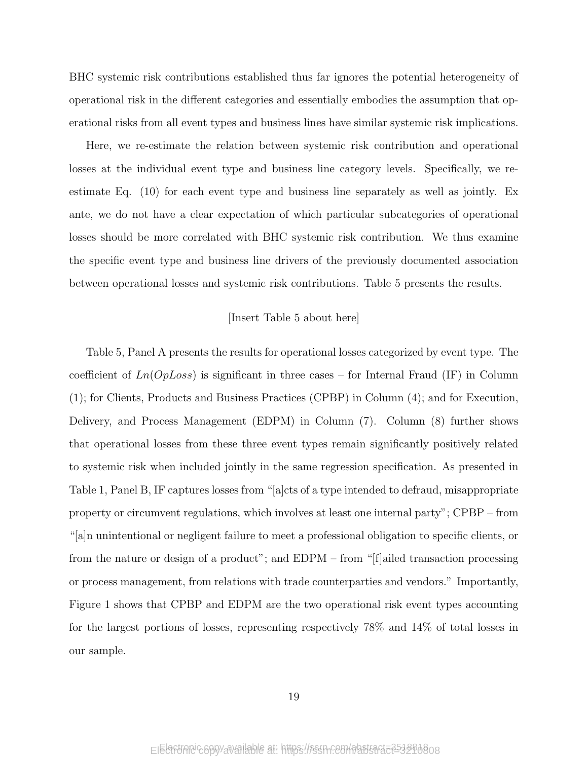BHC systemic risk contributions established thus far ignores the potential heterogeneity of operational risk in the different categories and essentially embodies the assumption that operational risks from all event types and business lines have similar systemic risk implications.

Here, we re-estimate the relation between systemic risk contribution and operational losses at the individual event type and business line category levels. Specifically, we reestimate Eq. (10) for each event type and business line separately as well as jointly. Ex ante, we do not have a clear expectation of which particular subcategories of operational losses should be more correlated with BHC systemic risk contribution. We thus examine the specific event type and business line drivers of the previously documented association between operational losses and systemic risk contributions. Table 5 presents the results.

### [Insert Table 5 about here]

Table 5, Panel A presents the results for operational losses categorized by event type. The coefficient of  $Ln(OpLoss)$  is significant in three cases – for Internal Fraud (IF) in Column (1); for Clients, Products and Business Practices (CPBP) in Column (4); and for Execution, Delivery, and Process Management (EDPM) in Column (7). Column (8) further shows that operational losses from these three event types remain significantly positively related to systemic risk when included jointly in the same regression specification. As presented in Table 1, Panel B, IF captures losses from "[a]cts of a type intended to defraud, misappropriate property or circumvent regulations, which involves at least one internal party"; CPBP – from "[a]n unintentional or negligent failure to meet a professional obligation to specific clients, or from the nature or design of a product"; and EDPM – from "[f]ailed transaction processing or process management, from relations with trade counterparties and vendors." Importantly, Figure 1 shows that CPBP and EDPM are the two operational risk event types accounting for the largest portions of losses, representing respectively 78% and 14% of total losses in our sample.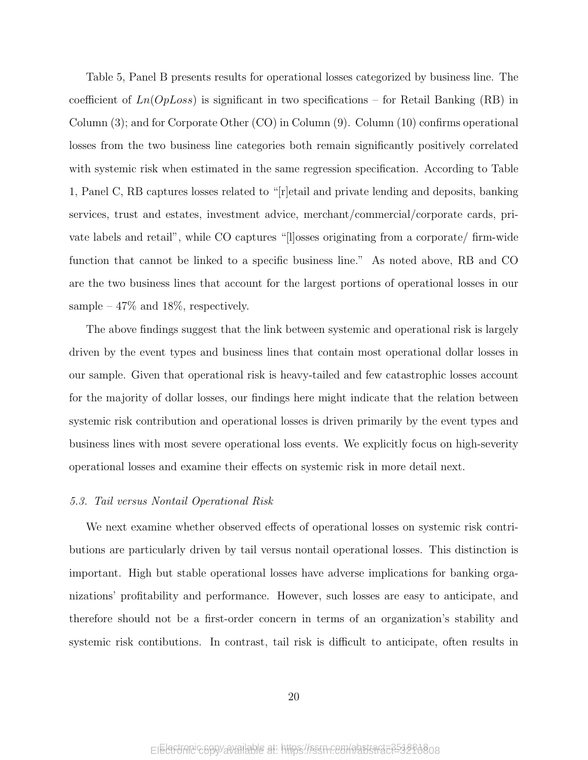Table 5, Panel B presents results for operational losses categorized by business line. The coefficient of  $Ln(OpLoss)$  is significant in two specifications – for Retail Banking (RB) in Column (3); and for Corporate Other (CO) in Column (9). Column (10) confirms operational losses from the two business line categories both remain significantly positively correlated with systemic risk when estimated in the same regression specification. According to Table 1, Panel C, RB captures losses related to "[r]etail and private lending and deposits, banking services, trust and estates, investment advice, merchant/commercial/corporate cards, private labels and retail", while CO captures "[l]osses originating from a corporate/ firm-wide function that cannot be linked to a specific business line." As noted above, RB and CO are the two business lines that account for the largest portions of operational losses in our sample –  $47\%$  and  $18\%$ , respectively.

The above findings suggest that the link between systemic and operational risk is largely driven by the event types and business lines that contain most operational dollar losses in our sample. Given that operational risk is heavy-tailed and few catastrophic losses account for the majority of dollar losses, our findings here might indicate that the relation between systemic risk contribution and operational losses is driven primarily by the event types and business lines with most severe operational loss events. We explicitly focus on high-severity operational losses and examine their effects on systemic risk in more detail next.

### 5.3. Tail versus Nontail Operational Risk

We next examine whether observed effects of operational losses on systemic risk contributions are particularly driven by tail versus nontail operational losses. This distinction is important. High but stable operational losses have adverse implications for banking organizations' profitability and performance. However, such losses are easy to anticipate, and therefore should not be a first-order concern in terms of an organization's stability and systemic risk contibutions. In contrast, tail risk is difficult to anticipate, often results in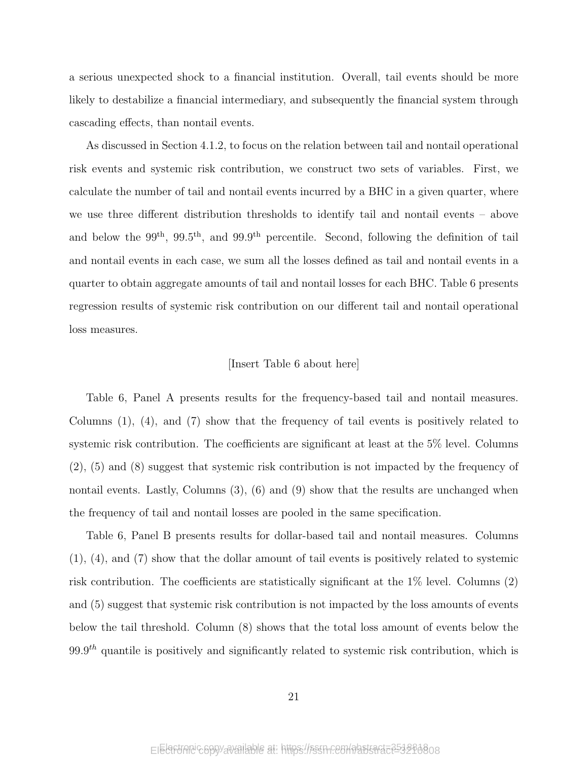a serious unexpected shock to a financial institution. Overall, tail events should be more likely to destabilize a financial intermediary, and subsequently the financial system through cascading effects, than nontail events.

As discussed in Section 4.1.2, to focus on the relation between tail and nontail operational risk events and systemic risk contribution, we construct two sets of variables. First, we calculate the number of tail and nontail events incurred by a BHC in a given quarter, where we use three different distribution thresholds to identify tail and nontail events – above and below the 99<sup>th</sup>, 99.5<sup>th</sup>, and 99.9<sup>th</sup> percentile. Second, following the definition of tail and nontail events in each case, we sum all the losses defined as tail and nontail events in a quarter to obtain aggregate amounts of tail and nontail losses for each BHC. Table 6 presents regression results of systemic risk contribution on our different tail and nontail operational loss measures.

### [Insert Table 6 about here]

Table 6, Panel A presents results for the frequency-based tail and nontail measures. Columns (1), (4), and (7) show that the frequency of tail events is positively related to systemic risk contribution. The coefficients are significant at least at the 5% level. Columns (2), (5) and (8) suggest that systemic risk contribution is not impacted by the frequency of nontail events. Lastly, Columns  $(3)$ ,  $(6)$  and  $(9)$  show that the results are unchanged when the frequency of tail and nontail losses are pooled in the same specification.

Table 6, Panel B presents results for dollar-based tail and nontail measures. Columns (1), (4), and (7) show that the dollar amount of tail events is positively related to systemic risk contribution. The coefficients are statistically significant at the 1% level. Columns (2) and (5) suggest that systemic risk contribution is not impacted by the loss amounts of events below the tail threshold. Column (8) shows that the total loss amount of events below the  $99.9<sup>th</sup>$  quantile is positively and significantly related to systemic risk contribution, which is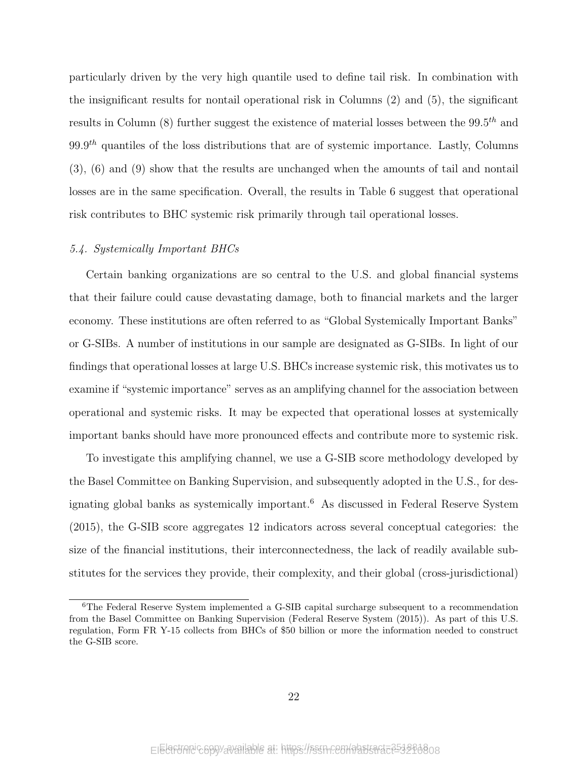particularly driven by the very high quantile used to define tail risk. In combination with the insignificant results for nontail operational risk in Columns (2) and (5), the significant results in Column (8) further suggest the existence of material losses between the  $99.5<sup>th</sup>$  and  $99.9<sup>th</sup>$  quantiles of the loss distributions that are of systemic importance. Lastly, Columns (3), (6) and (9) show that the results are unchanged when the amounts of tail and nontail losses are in the same specification. Overall, the results in Table 6 suggest that operational risk contributes to BHC systemic risk primarily through tail operational losses.

### 5.4. Systemically Important BHCs

Certain banking organizations are so central to the U.S. and global financial systems that their failure could cause devastating damage, both to financial markets and the larger economy. These institutions are often referred to as "Global Systemically Important Banks" or G-SIBs. A number of institutions in our sample are designated as G-SIBs. In light of our findings that operational losses at large U.S. BHCs increase systemic risk, this motivates us to examine if "systemic importance" serves as an amplifying channel for the association between operational and systemic risks. It may be expected that operational losses at systemically important banks should have more pronounced effects and contribute more to systemic risk.

To investigate this amplifying channel, we use a G-SIB score methodology developed by the Basel Committee on Banking Supervision, and subsequently adopted in the U.S., for designating global banks as systemically important.<sup>6</sup> As discussed in Federal Reserve System (2015), the G-SIB score aggregates 12 indicators across several conceptual categories: the size of the financial institutions, their interconnectedness, the lack of readily available substitutes for the services they provide, their complexity, and their global (cross-jurisdictional)

<sup>6</sup>The Federal Reserve System implemented a G-SIB capital surcharge subsequent to a recommendation from the Basel Committee on Banking Supervision (Federal Reserve System (2015)). As part of this U.S. regulation, Form FR Y-15 collects from BHCs of \$50 billion or more the information needed to construct the G-SIB score.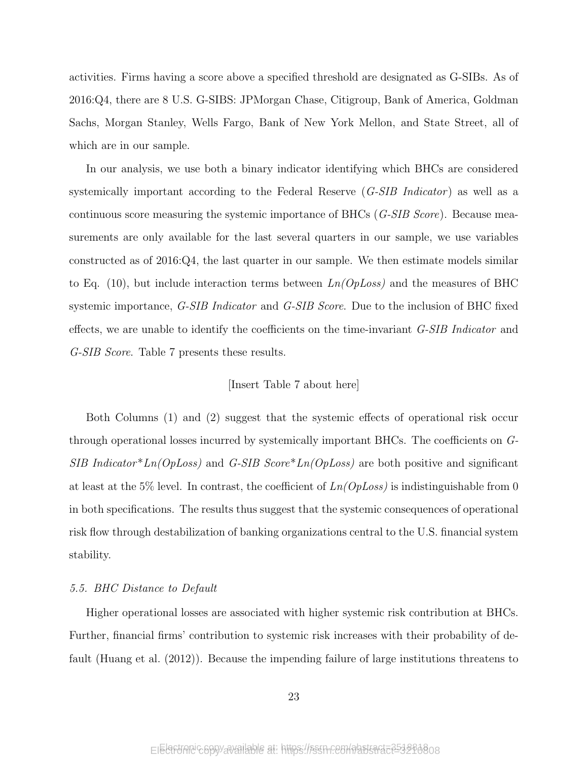activities. Firms having a score above a specified threshold are designated as G-SIBs. As of 2016:Q4, there are 8 U.S. G-SIBS: JPMorgan Chase, Citigroup, Bank of America, Goldman Sachs, Morgan Stanley, Wells Fargo, Bank of New York Mellon, and State Street, all of which are in our sample.

In our analysis, we use both a binary indicator identifying which BHCs are considered systemically important according to the Federal Reserve  $(G\text{-}SIB\ Indication)$  as well as a continuous score measuring the systemic importance of BHCs (G-SIB Score). Because measurements are only available for the last several quarters in our sample, we use variables constructed as of 2016:Q4, the last quarter in our sample. We then estimate models similar to Eq. (10), but include interaction terms between  $Ln(OpLoss)$  and the measures of BHC systemic importance, G-SIB Indicator and G-SIB Score. Due to the inclusion of BHC fixed effects, we are unable to identify the coefficients on the time-invariant G-SIB Indicator and G-SIB Score. Table 7 presents these results.

### [Insert Table 7 about here]

Both Columns (1) and (2) suggest that the systemic effects of operational risk occur through operational losses incurred by systemically important BHCs. The coefficients on G-SIB Indicator\*Ln(OpLoss) and G-SIB Score\*Ln(OpLoss) are both positive and significant at least at the 5% level. In contrast, the coefficient of  $Ln(OpLoss)$  is indistinguishable from 0 in both specifications. The results thus suggest that the systemic consequences of operational risk flow through destabilization of banking organizations central to the U.S. financial system stability.

### 5.5. BHC Distance to Default

Higher operational losses are associated with higher systemic risk contribution at BHCs. Further, financial firms' contribution to systemic risk increases with their probability of default (Huang et al. (2012)). Because the impending failure of large institutions threatens to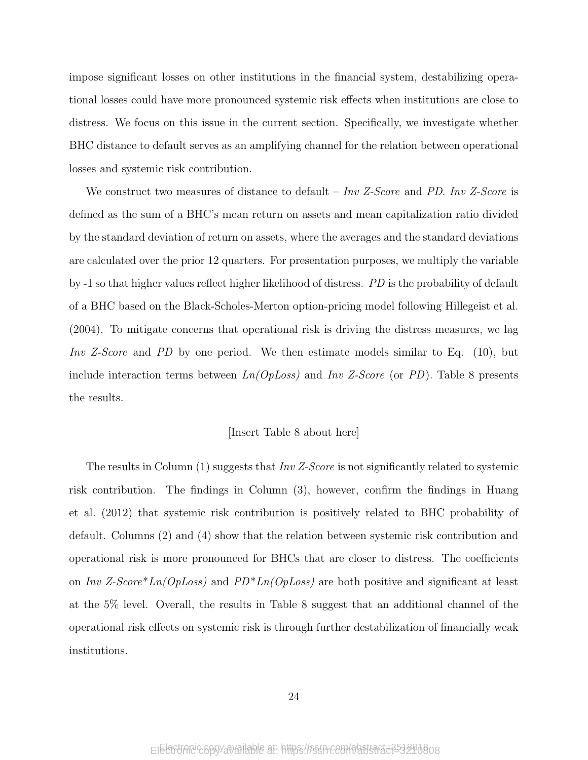impose significant losses on other institutions in the financial system, destabilizing operational losses could have more pronounced systemic risk effects when institutions are close to distress. We focus on this issue in the current section. Specifically, we investigate whether BHC distance to default serves as an amplifying channel for the relation between operational losses and systemic risk contribution.

We construct two measures of distance to default – Inv Z-Score and PD. Inv Z-Score is defined as the sum of a BHC's mean return on assets and mean capitalization ratio divided by the standard deviation of return on assets, where the averages and the standard deviations are calculated over the prior 12 quarters. For presentation purposes, we multiply the variable by -1 so that higher values reflect higher likelihood of distress. PD is the probability of default of a BHC based on the Black-Scholes-Merton option-pricing model following Hillegeist et al. (2004). To mitigate concerns that operational risk is driving the distress measures, we lag Inv Z-Score and PD by one period. We then estimate models similar to Eq. (10), but include interaction terms between  $Ln(OpLoss)$  and  $Inv Z-Score$  (or PD). Table 8 presents the results.

### [Insert Table 8 about here]

The results in Column  $(1)$  suggests that Inv Z-Score is not significantly related to systemic risk contribution. The findings in Column (3), however, confirm the findings in Huang et al. (2012) that systemic risk contribution is positively related to BHC probability of default. Columns (2) and (4) show that the relation between systemic risk contribution and operational risk is more pronounced for BHCs that are closer to distress. The coefficients on Inv Z-Score\*Ln(OpLoss) and  $PD^*Ln(OpLoss)$  are both positive and significant at least at the 5% level. Overall, the results in Table 8 suggest that an additional channel of the operational risk effects on systemic risk is through further destabilization of financially weak institutions.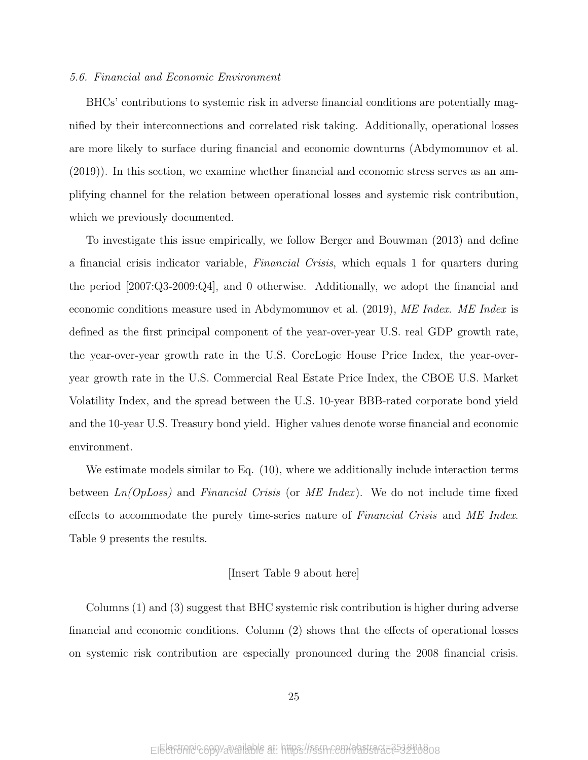### 5.6. Financial and Economic Environment

BHCs' contributions to systemic risk in adverse financial conditions are potentially magnified by their interconnections and correlated risk taking. Additionally, operational losses are more likely to surface during financial and economic downturns (Abdymomunov et al. (2019)). In this section, we examine whether financial and economic stress serves as an amplifying channel for the relation between operational losses and systemic risk contribution, which we previously documented.

To investigate this issue empirically, we follow Berger and Bouwman (2013) and define a financial crisis indicator variable, Financial Crisis, which equals 1 for quarters during the period [2007:Q3-2009:Q4], and 0 otherwise. Additionally, we adopt the financial and economic conditions measure used in Abdymomunov et al. (2019), ME Index. ME Index is defined as the first principal component of the year-over-year U.S. real GDP growth rate, the year-over-year growth rate in the U.S. CoreLogic House Price Index, the year-overyear growth rate in the U.S. Commercial Real Estate Price Index, the CBOE U.S. Market Volatility Index, and the spread between the U.S. 10-year BBB-rated corporate bond yield and the 10-year U.S. Treasury bond yield. Higher values denote worse financial and economic environment.

We estimate models similar to Eq. (10), where we additionally include interaction terms between  $Ln(OpLoss)$  and Financial Crisis (or ME Index). We do not include time fixed effects to accommodate the purely time-series nature of *Financial Crisis* and ME Index. Table 9 presents the results.

### [Insert Table 9 about here]

Columns (1) and (3) suggest that BHC systemic risk contribution is higher during adverse financial and economic conditions. Column (2) shows that the effects of operational losses on systemic risk contribution are especially pronounced during the 2008 financial crisis.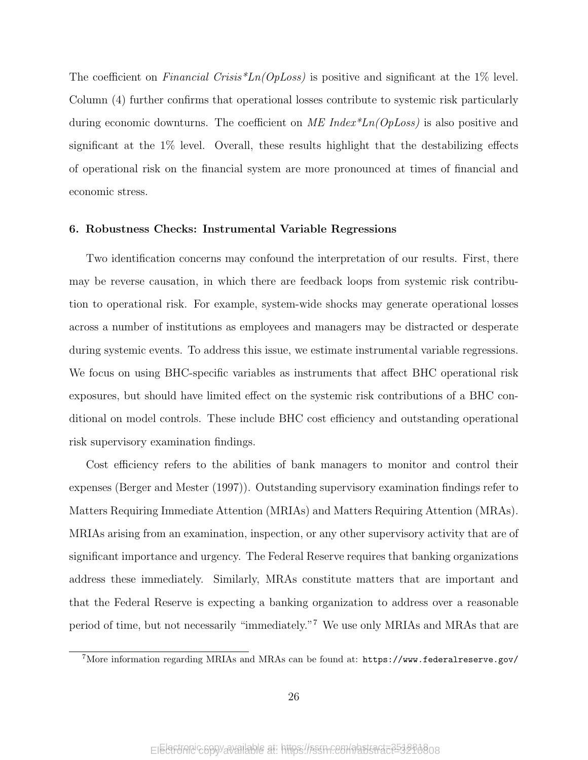The coefficient on *Financial Crisis*<sup>\*</sup>Ln(*OpLoss*) is positive and significant at the 1% level. Column (4) further confirms that operational losses contribute to systemic risk particularly during economic downturns. The coefficient on  $ME \ Index^*Ln(OpLoss)$  is also positive and significant at the 1% level. Overall, these results highlight that the destabilizing effects of operational risk on the financial system are more pronounced at times of financial and economic stress.

### 6. Robustness Checks: Instrumental Variable Regressions

Two identification concerns may confound the interpretation of our results. First, there may be reverse causation, in which there are feedback loops from systemic risk contribution to operational risk. For example, system-wide shocks may generate operational losses across a number of institutions as employees and managers may be distracted or desperate during systemic events. To address this issue, we estimate instrumental variable regressions. We focus on using BHC-specific variables as instruments that affect BHC operational risk exposures, but should have limited effect on the systemic risk contributions of a BHC conditional on model controls. These include BHC cost efficiency and outstanding operational risk supervisory examination findings.

Cost efficiency refers to the abilities of bank managers to monitor and control their expenses (Berger and Mester (1997)). Outstanding supervisory examination findings refer to Matters Requiring Immediate Attention (MRIAs) and Matters Requiring Attention (MRAs). MRIAs arising from an examination, inspection, or any other supervisory activity that are of significant importance and urgency. The Federal Reserve requires that banking organizations address these immediately. Similarly, MRAs constitute matters that are important and that the Federal Reserve is expecting a banking organization to address over a reasonable period of time, but not necessarily "immediately."<sup>7</sup> We use only MRIAs and MRAs that are

<sup>7</sup>More information regarding MRIAs and MRAs can be found at: https://www.federalreserve.gov/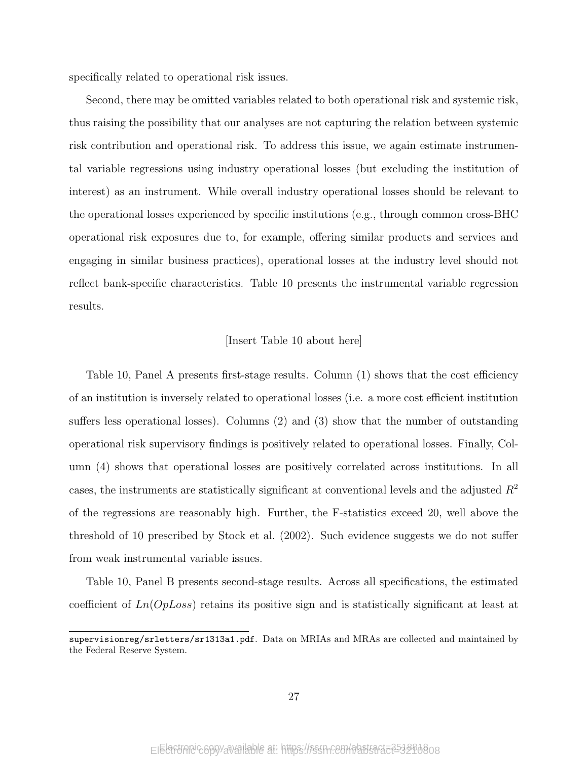specifically related to operational risk issues.

Second, there may be omitted variables related to both operational risk and systemic risk, thus raising the possibility that our analyses are not capturing the relation between systemic risk contribution and operational risk. To address this issue, we again estimate instrumental variable regressions using industry operational losses (but excluding the institution of interest) as an instrument. While overall industry operational losses should be relevant to the operational losses experienced by specific institutions (e.g., through common cross-BHC operational risk exposures due to, for example, offering similar products and services and engaging in similar business practices), operational losses at the industry level should not reflect bank-specific characteristics. Table 10 presents the instrumental variable regression results.

### [Insert Table 10 about here]

Table 10, Panel A presents first-stage results. Column (1) shows that the cost efficiency of an institution is inversely related to operational losses (i.e. a more cost efficient institution suffers less operational losses). Columns (2) and (3) show that the number of outstanding operational risk supervisory findings is positively related to operational losses. Finally, Column (4) shows that operational losses are positively correlated across institutions. In all cases, the instruments are statistically significant at conventional levels and the adjusted  $R<sup>2</sup>$ of the regressions are reasonably high. Further, the F-statistics exceed 20, well above the threshold of 10 prescribed by Stock et al. (2002). Such evidence suggests we do not suffer from weak instrumental variable issues.

Table 10, Panel B presents second-stage results. Across all specifications, the estimated coefficient of  $Ln(OpLoss)$  retains its positive sign and is statistically significant at least at

supervisionreg/srletters/sr1313a1.pdf. Data on MRIAs and MRAs are collected and maintained by the Federal Reserve System.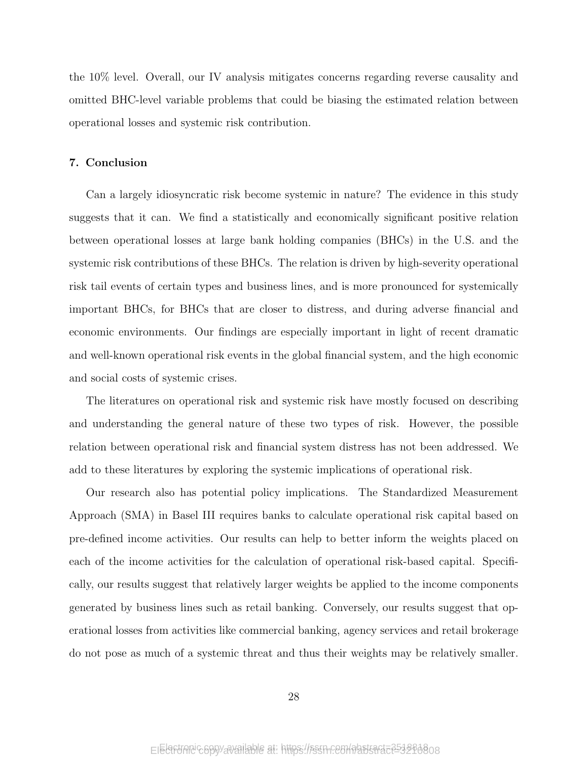the 10% level. Overall, our IV analysis mitigates concerns regarding reverse causality and omitted BHC-level variable problems that could be biasing the estimated relation between operational losses and systemic risk contribution.

### 7. Conclusion

Can a largely idiosyncratic risk become systemic in nature? The evidence in this study suggests that it can. We find a statistically and economically significant positive relation between operational losses at large bank holding companies (BHCs) in the U.S. and the systemic risk contributions of these BHCs. The relation is driven by high-severity operational risk tail events of certain types and business lines, and is more pronounced for systemically important BHCs, for BHCs that are closer to distress, and during adverse financial and economic environments. Our findings are especially important in light of recent dramatic and well-known operational risk events in the global financial system, and the high economic and social costs of systemic crises.

The literatures on operational risk and systemic risk have mostly focused on describing and understanding the general nature of these two types of risk. However, the possible relation between operational risk and financial system distress has not been addressed. We add to these literatures by exploring the systemic implications of operational risk.

Our research also has potential policy implications. The Standardized Measurement Approach (SMA) in Basel III requires banks to calculate operational risk capital based on pre-defined income activities. Our results can help to better inform the weights placed on each of the income activities for the calculation of operational risk-based capital. Specifically, our results suggest that relatively larger weights be applied to the income components generated by business lines such as retail banking. Conversely, our results suggest that operational losses from activities like commercial banking, agency services and retail brokerage do not pose as much of a systemic threat and thus their weights may be relatively smaller.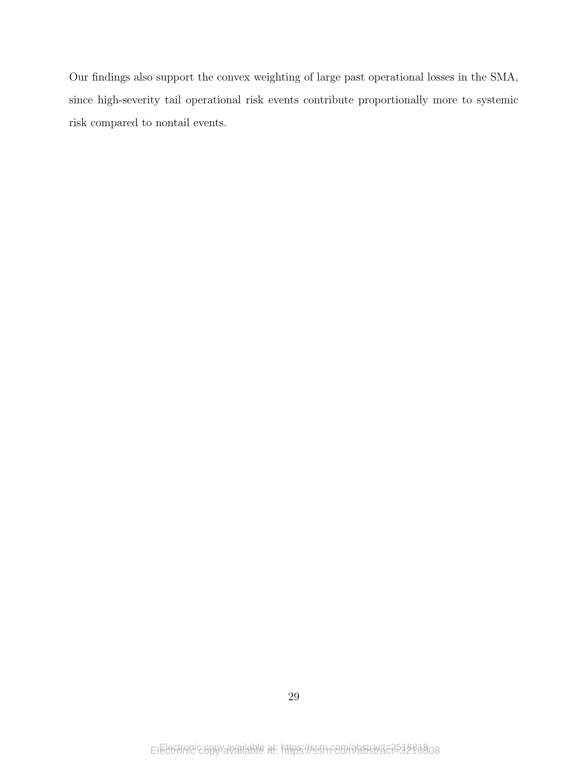Our findings also support the convex weighting of large past operational losses in the SMA, since high-severity tail operational risk events contribute proportionally more to systemic risk compared to nontail events.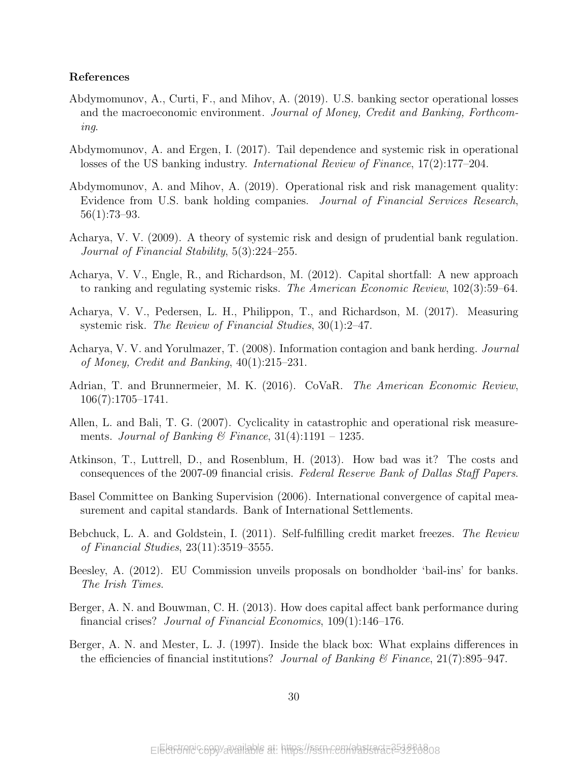### References

- Abdymomunov, A., Curti, F., and Mihov, A. (2019). U.S. banking sector operational losses and the macroeconomic environment. Journal of Money, Credit and Banking, Forthcoming.
- Abdymomunov, A. and Ergen, I. (2017). Tail dependence and systemic risk in operational losses of the US banking industry. International Review of Finance, 17(2):177–204.
- Abdymomunov, A. and Mihov, A. (2019). Operational risk and risk management quality: Evidence from U.S. bank holding companies. Journal of Financial Services Research, 56(1):73–93.
- Acharya, V. V. (2009). A theory of systemic risk and design of prudential bank regulation. Journal of Financial Stability, 5(3):224–255.
- Acharya, V. V., Engle, R., and Richardson, M. (2012). Capital shortfall: A new approach to ranking and regulating systemic risks. The American Economic Review, 102(3):59–64.
- Acharya, V. V., Pedersen, L. H., Philippon, T., and Richardson, M. (2017). Measuring systemic risk. The Review of Financial Studies, 30(1):2–47.
- Acharya, V. V. and Yorulmazer, T. (2008). Information contagion and bank herding. Journal of Money, Credit and Banking, 40(1):215–231.
- Adrian, T. and Brunnermeier, M. K. (2016). CoVaR. The American Economic Review, 106(7):1705–1741.
- Allen, L. and Bali, T. G. (2007). Cyclicality in catastrophic and operational risk measurements. Journal of Banking & Finance,  $31(4):1191 - 1235$ .
- Atkinson, T., Luttrell, D., and Rosenblum, H. (2013). How bad was it? The costs and consequences of the 2007-09 financial crisis. Federal Reserve Bank of Dallas Staff Papers.
- Basel Committee on Banking Supervision (2006). International convergence of capital measurement and capital standards. Bank of International Settlements.
- Bebchuck, L. A. and Goldstein, I. (2011). Self-fulfilling credit market freezes. The Review of Financial Studies, 23(11):3519–3555.
- Beesley, A. (2012). EU Commission unveils proposals on bondholder 'bail-ins' for banks. The Irish Times.
- Berger, A. N. and Bouwman, C. H. (2013). How does capital affect bank performance during financial crises? Journal of Financial Economics, 109(1):146–176.
- Berger, A. N. and Mester, L. J. (1997). Inside the black box: What explains differences in the efficiencies of financial institutions? Journal of Banking  $\mathcal C$  Finance, 21(7):895–947.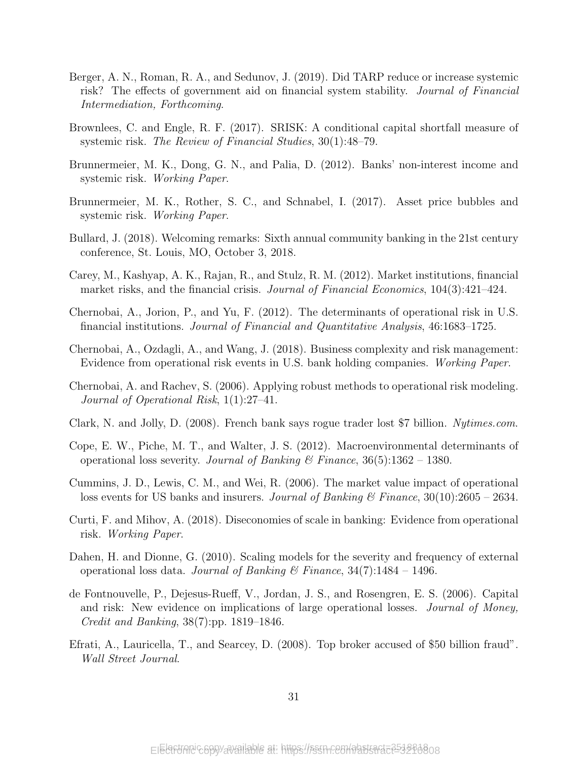- Berger, A. N., Roman, R. A., and Sedunov, J. (2019). Did TARP reduce or increase systemic risk? The effects of government aid on financial system stability. Journal of Financial Intermediation, Forthcoming.
- Brownlees, C. and Engle, R. F. (2017). SRISK: A conditional capital shortfall measure of systemic risk. The Review of Financial Studies, 30(1):48–79.
- Brunnermeier, M. K., Dong, G. N., and Palia, D. (2012). Banks' non-interest income and systemic risk. Working Paper.
- Brunnermeier, M. K., Rother, S. C., and Schnabel, I. (2017). Asset price bubbles and systemic risk. Working Paper.
- Bullard, J. (2018). Welcoming remarks: Sixth annual community banking in the 21st century conference, St. Louis, MO, October 3, 2018.
- Carey, M., Kashyap, A. K., Rajan, R., and Stulz, R. M. (2012). Market institutions, financial market risks, and the financial crisis. *Journal of Financial Economics*, 104(3):421-424.
- Chernobai, A., Jorion, P., and Yu, F. (2012). The determinants of operational risk in U.S. financial institutions. Journal of Financial and Quantitative Analysis, 46:1683–1725.
- Chernobai, A., Ozdagli, A., and Wang, J. (2018). Business complexity and risk management: Evidence from operational risk events in U.S. bank holding companies. Working Paper.
- Chernobai, A. and Rachev, S. (2006). Applying robust methods to operational risk modeling. Journal of Operational Risk, 1(1):27–41.
- Clark, N. and Jolly, D. (2008). French bank says rogue trader lost \$7 billion. Nytimes.com.
- Cope, E. W., Piche, M. T., and Walter, J. S. (2012). Macroenvironmental determinants of operational loss severity. Journal of Banking & Finance,  $36(5)$ :1362 – 1380.
- Cummins, J. D., Lewis, C. M., and Wei, R. (2006). The market value impact of operational loss events for US banks and insurers. *Journal of Banking*  $\mathscr{C}$  Finance, 30(10):2605 – 2634.
- Curti, F. and Mihov, A. (2018). Diseconomies of scale in banking: Evidence from operational risk. Working Paper.
- Dahen, H. and Dionne, G. (2010). Scaling models for the severity and frequency of external operational loss data. Journal of Banking & Finance,  $34(7)$ :1484 – 1496.
- de Fontnouvelle, P., Dejesus-Rueff, V., Jordan, J. S., and Rosengren, E. S. (2006). Capital and risk: New evidence on implications of large operational losses. Journal of Money, Credit and Banking, 38(7):pp. 1819–1846.
- Efrati, A., Lauricella, T., and Searcey, D. (2008). Top broker accused of \$50 billion fraud". Wall Street Journal.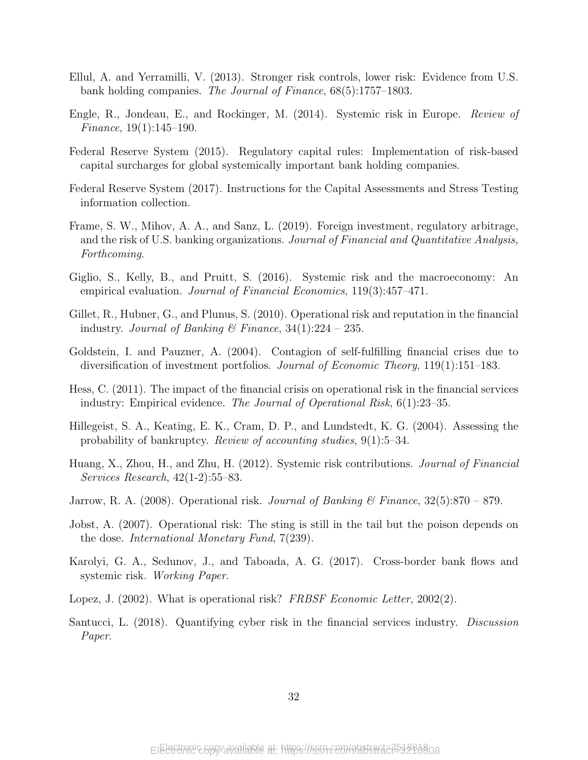- Ellul, A. and Yerramilli, V. (2013). Stronger risk controls, lower risk: Evidence from U.S. bank holding companies. The Journal of Finance, 68(5):1757–1803.
- Engle, R., Jondeau, E., and Rockinger, M. (2014). Systemic risk in Europe. Review of Finance, 19(1):145–190.
- Federal Reserve System (2015). Regulatory capital rules: Implementation of risk-based capital surcharges for global systemically important bank holding companies.
- Federal Reserve System (2017). Instructions for the Capital Assessments and Stress Testing information collection.
- Frame, S. W., Mihov, A. A., and Sanz, L. (2019). Foreign investment, regulatory arbitrage, and the risk of U.S. banking organizations. Journal of Financial and Quantitative Analysis, Forthcoming.
- Giglio, S., Kelly, B., and Pruitt, S. (2016). Systemic risk and the macroeconomy: An empirical evaluation. *Journal of Financial Economics*, 119(3):457–471.
- Gillet, R., Hubner, G., and Plunus, S. (2010). Operational risk and reputation in the financial industry. Journal of Banking & Finance,  $34(1):224 - 235$ .
- Goldstein, I. and Pauzner, A. (2004). Contagion of self-fulfilling financial crises due to diversification of investment portfolios. Journal of Economic Theory, 119(1):151–183.
- Hess, C. (2011). The impact of the financial crisis on operational risk in the financial services industry: Empirical evidence. The Journal of Operational Risk, 6(1):23–35.
- Hillegeist, S. A., Keating, E. K., Cram, D. P., and Lundstedt, K. G. (2004). Assessing the probability of bankruptcy. Review of accounting studies, 9(1):5–34.
- Huang, X., Zhou, H., and Zhu, H. (2012). Systemic risk contributions. Journal of Financial Services Research, 42(1-2):55–83.
- Jarrow, R. A. (2008). Operational risk. Journal of Banking & Finance,  $32(5):870 879$ .
- Jobst, A. (2007). Operational risk: The sting is still in the tail but the poison depends on the dose. International Monetary Fund, 7(239).
- Karolyi, G. A., Sedunov, J., and Taboada, A. G. (2017). Cross-border bank flows and systemic risk. Working Paper.
- Lopez, J. (2002). What is operational risk? FRBSF Economic Letter, 2002(2).
- Santucci, L. (2018). Quantifying cyber risk in the financial services industry. Discussion Paper.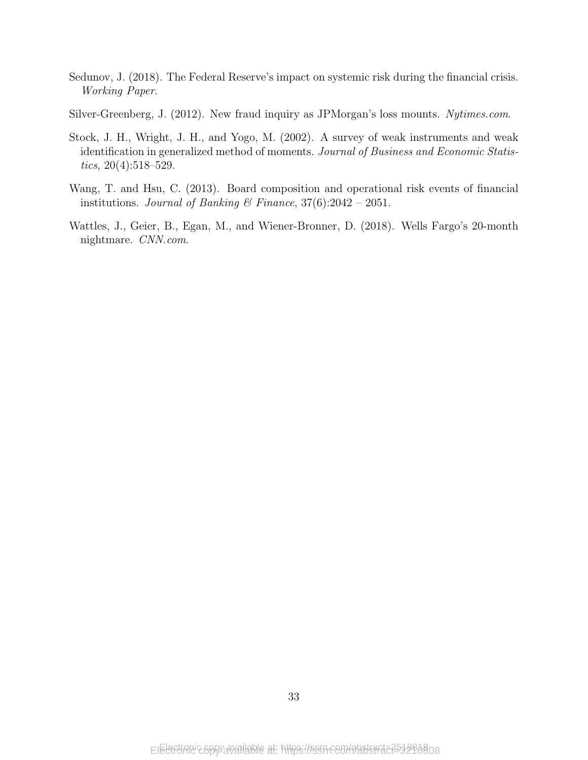- Sedunov, J. (2018). The Federal Reserve's impact on systemic risk during the financial crisis. Working Paper.
- Silver-Greenberg, J. (2012). New fraud inquiry as JPMorgan's loss mounts. Nytimes.com.
- Stock, J. H., Wright, J. H., and Yogo, M. (2002). A survey of weak instruments and weak identification in generalized method of moments. Journal of Business and Economic Statistics,  $20(4):518-529$ .
- Wang, T. and Hsu, C. (2013). Board composition and operational risk events of financial institutions. Journal of Banking & Finance,  $37(6):2042 - 2051$ .
- Wattles, J., Geier, B., Egan, M., and Wiener-Bronner, D. (2018). Wells Fargo's 20-month nightmare. CNN.com.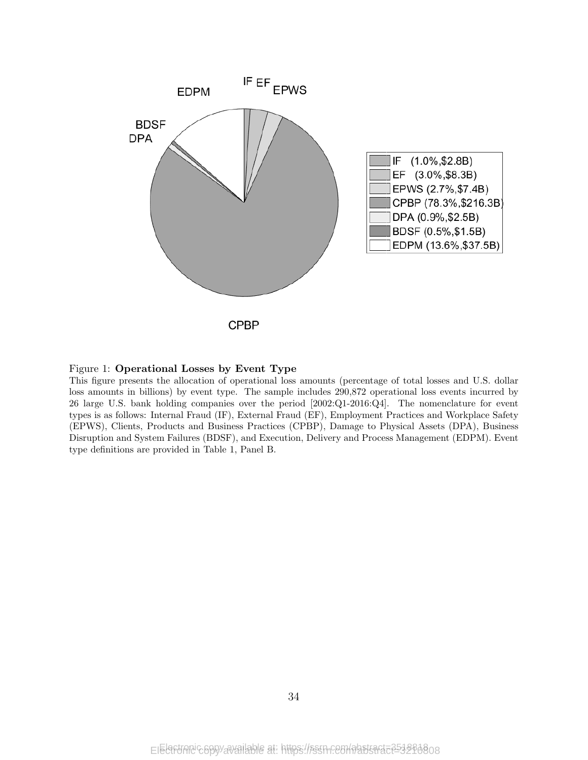



This figure presents the allocation of operational loss amounts (percentage of total losses and U.S. dollar loss amounts in billions) by event type. The sample includes 290,872 operational loss events incurred by 26 large U.S. bank holding companies over the period [2002:Q1-2016:Q4]. The nomenclature for event types is as follows: Internal Fraud (IF), External Fraud (EF), Employment Practices and Workplace Safety (EPWS), Clients, Products and Business Practices (CPBP), Damage to Physical Assets (DPA), Business Disruption and System Failures (BDSF), and Execution, Delivery and Process Management (EDPM). Event type definitions are provided in Table 1, Panel B.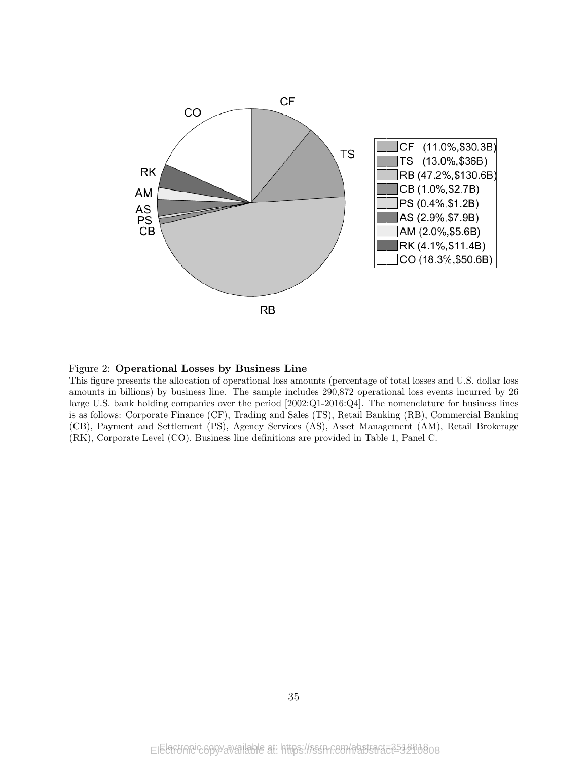

### Figure 2: Operational Losses by Business Line

This figure presents the allocation of operational loss amounts (percentage of total losses and U.S. dollar loss amounts in billions) by business line. The sample includes 290,872 operational loss events incurred by 26 large U.S. bank holding companies over the period [2002:Q1-2016:Q4]. The nomenclature for business lines is as follows: Corporate Finance (CF), Trading and Sales (TS), Retail Banking (RB), Commercial Banking (CB), Payment and Settlement (PS), Agency Services (AS), Asset Management (AM), Retail Brokerage (RK), Corporate Level (CO). Business line definitions are provided in Table 1, Panel C.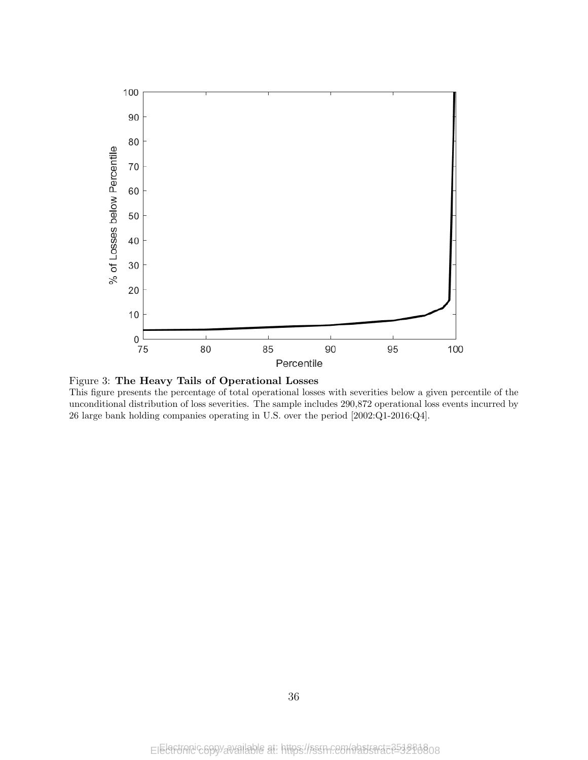



This figure presents the percentage of total operational losses with severities below a given percentile of the unconditional distribution of loss severities. The sample includes 290,872 operational loss events incurred by 26 large bank holding companies operating in U.S. over the period [2002:Q1-2016:Q4].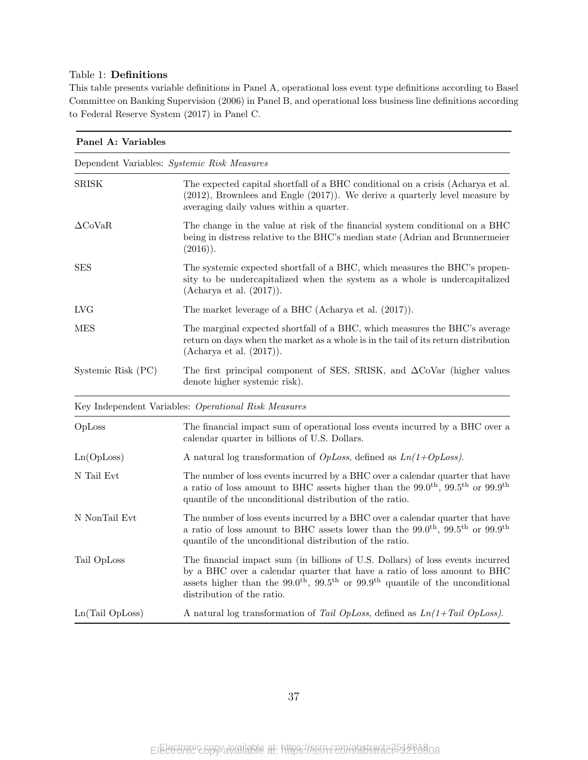### Table 1: Definitions

This table presents variable definitions in Panel A, operational loss event type definitions according to Basel Committee on Banking Supervision (2006) in Panel B, and operational loss business line definitions according to Federal Reserve System (2017) in Panel C.

| Panel A: Variables                          |                                                                                                                                                                                                                                                                                           |
|---------------------------------------------|-------------------------------------------------------------------------------------------------------------------------------------------------------------------------------------------------------------------------------------------------------------------------------------------|
| Dependent Variables: Systemic Risk Measures |                                                                                                                                                                                                                                                                                           |
| SRISK                                       | The expected capital shortfall of a BHC conditional on a crisis (Acharya et al.<br>$(2012)$ , Brownlees and Engle $(2017)$ ). We derive a quarterly level measure by<br>averaging daily values within a quarter.                                                                          |
| $\Delta$ CoVaR                              | The change in the value at risk of the financial system conditional on a BHC<br>being in distress relative to the BHC's median state (Adrian and Brunnermeier<br>$(2016)$ .                                                                                                               |
| $_{\rm{SES}}$                               | The systemic expected shortfall of a BHC, which measures the BHC's propen-<br>sity to be undercapitalized when the system as a whole is undercapitalized<br>(Adinarya et al. (2017)).                                                                                                     |
| LVG                                         | The market leverage of a BHC (Acharya et al. $(2017)$ ).                                                                                                                                                                                                                                  |
| MES                                         | The marginal expected shortfall of a BHC, which measures the BHC's average<br>return on days when the market as a whole is in the tail of its return distribution<br>(Adinarya et al. (2017)).                                                                                            |
| Systemic Risk (PC)                          | The first principal component of SES, SRISK, and $\Delta$ CoVar (higher values<br>denote higher systemic risk).                                                                                                                                                                           |
|                                             | Key Independent Variables: Operational Risk Measures                                                                                                                                                                                                                                      |
| OpLoss                                      | The financial impact sum of operational loss events incurred by a BHC over a<br>calendar quarter in billions of U.S. Dollars.                                                                                                                                                             |
| Ln(OpLoss)                                  | A natural log transformation of <i>OpLoss</i> , defined as $Ln(1+OpLoss)$ .                                                                                                                                                                                                               |
| N Tail Evt                                  | The number of loss events incurred by a BHC over a calendar quarter that have<br>a ratio of loss amount to BHC assets higher than the $99.0^{\text{th}}$ , $99.5^{\text{th}}$ or $99.9^{\text{th}}$<br>quantile of the unconditional distribution of the ratio.                           |
| N NonTail Evt                               | The number of loss events incurred by a BHC over a calendar quarter that have<br>a ratio of loss amount to BHC assets lower than the $99.0^{th}$ , $99.5^{th}$ or $99.9^{th}$<br>quantile of the unconditional distribution of the ratio.                                                 |
| Tail OpLoss                                 | The financial impact sum (in billions of U.S. Dollars) of loss events incurred<br>by a BHC over a calendar quarter that have a ratio of loss amount to BHC<br>assets higher than the $99.0^{th}$ , $99.5^{th}$ or $99.9^{th}$ quantile of the unconditional<br>distribution of the ratio. |
| Ln(Tail OpLoss)                             | A natural log transformation of Tail OpLoss, defined as $Ln(1+Tail$ OpLoss).                                                                                                                                                                                                              |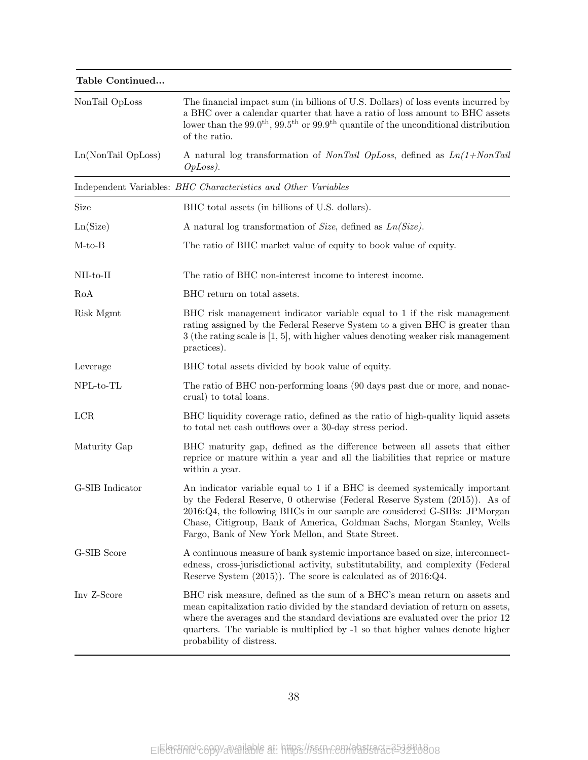| 'Table Continued   |                                                                                                                                                                                                                                                                                                                                                                       |
|--------------------|-----------------------------------------------------------------------------------------------------------------------------------------------------------------------------------------------------------------------------------------------------------------------------------------------------------------------------------------------------------------------|
| NonTail OpLoss     | The financial impact sum (in billions of U.S. Dollars) of loss events incurred by<br>a BHC over a calendar quarter that have a ratio of loss amount to BHC assets<br>lower than the $99.0^{th}$ , $99.5^{th}$ or $99.9^{th}$ quantile of the unconditional distribution<br>of the ratio.                                                                              |
| Ln(NonTail OpLoss) | A natural log transformation of <i>NonTail OpLoss</i> , defined as $Ln(1+NonTail)$<br>$OpLoss$ ).                                                                                                                                                                                                                                                                     |
|                    | Independent Variables: BHC Characteristics and Other Variables                                                                                                                                                                                                                                                                                                        |
| Size               | BHC total assets (in billions of U.S. dollars).                                                                                                                                                                                                                                                                                                                       |
| Ln(Size)           | A natural log transformation of Size, defined as $Ln(Size)$ .                                                                                                                                                                                                                                                                                                         |
| $M-to-B$           | The ratio of BHC market value of equity to book value of equity.                                                                                                                                                                                                                                                                                                      |
| $NII-to-II$        | The ratio of BHC non-interest income to interest income.                                                                                                                                                                                                                                                                                                              |
| RoA                | BHC return on total assets.                                                                                                                                                                                                                                                                                                                                           |
| Risk Mgmt          | BHC risk management indicator variable equal to 1 if the risk management<br>rating assigned by the Federal Reserve System to a given BHC is greater than<br>$3$ (the rating scale is [1, 5], with higher values denoting weaker risk management<br>practices).                                                                                                        |
| Leverage           | BHC total assets divided by book value of equity.                                                                                                                                                                                                                                                                                                                     |
| $NPL-to-TL$        | The ratio of BHC non-performing loans (90 days past due or more, and nonac-<br>crual) to total loans.                                                                                                                                                                                                                                                                 |
| LCR                | BHC liquidity coverage ratio, defined as the ratio of high-quality liquid assets<br>to total net cash outflows over a 30-day stress period.                                                                                                                                                                                                                           |
| Maturity Gap       | BHC maturity gap, defined as the difference between all assets that either<br>reprice or mature within a year and all the liabilities that reprice or mature<br>within a year.                                                                                                                                                                                        |
| G-SIB Indicator    | An indicator variable equal to 1 if a BHC is deemed systemically important<br>by the Federal Reserve, 0 otherwise (Federal Reserve System (2015)). As of<br>2016:Q4, the following BHCs in our sample are considered G-SIBs: JPMorgan<br>Chase, Citigroup, Bank of America, Goldman Sachs, Morgan Stanley, Wells<br>Fargo, Bank of New York Mellon, and State Street. |
| G-SIB Score        | A continuous measure of bank systemic importance based on size, interconnect-<br>edness, cross-jurisdictional activity, substitutability, and complexity (Federal<br>Reserve System $(2015)$ ). The score is calculated as of $2016:Q4$ .                                                                                                                             |
| Inv Z-Score        | BHC risk measure, defined as the sum of a BHC's mean return on assets and<br>mean capitalization ratio divided by the standard deviation of return on assets,<br>where the averages and the standard deviations are evaluated over the prior 12<br>quarters. The variable is multiplied by -1 so that higher values denote higher<br>probability of distress.         |

### Table Continued...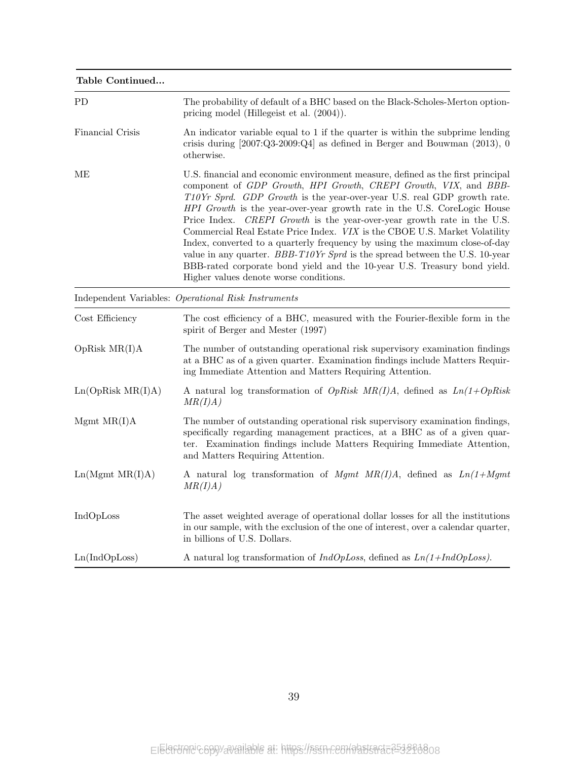| Table Continued   |                                                                                                                                                                                                                                                                                                                                                                                                                                                                                                                                                                                                                                                                                                                                                           |
|-------------------|-----------------------------------------------------------------------------------------------------------------------------------------------------------------------------------------------------------------------------------------------------------------------------------------------------------------------------------------------------------------------------------------------------------------------------------------------------------------------------------------------------------------------------------------------------------------------------------------------------------------------------------------------------------------------------------------------------------------------------------------------------------|
| PD                | The probability of default of a BHC based on the Black-Scholes-Merton option-<br>pricing model (Hillegeist et al. $(2004)$ ).                                                                                                                                                                                                                                                                                                                                                                                                                                                                                                                                                                                                                             |
| Financial Crisis  | An indicator variable equal to 1 if the quarter is within the subprime lending<br>crisis during $[2007:Q3-2009:Q4]$ as defined in Berger and Bouwman $(2013)$ , 0<br>otherwise.                                                                                                                                                                                                                                                                                                                                                                                                                                                                                                                                                                           |
| MЕ                | U.S. financial and economic environment measure, defined as the first principal<br>component of GDP Growth, HPI Growth, CREPI Growth, VIX, and BBB-<br>T10Yr Sprd. GDP Growth is the year-over-year U.S. real GDP growth rate.<br>HPI Growth is the year-over-year growth rate in the U.S. CoreLogic House<br>Price Index. CREPI Growth is the year-over-year growth rate in the U.S.<br>Commercial Real Estate Price Index. VIX is the CBOE U.S. Market Volatility<br>Index, converted to a quarterly frequency by using the maximum close-of-day<br>value in any quarter. $BBB-T10Yr$ Sprd is the spread between the U.S. 10-year<br>BBB-rated corporate bond yield and the 10-year U.S. Treasury bond yield.<br>Higher values denote worse conditions. |
|                   | Independent Variables: Operational Risk Instruments                                                                                                                                                                                                                                                                                                                                                                                                                                                                                                                                                                                                                                                                                                       |
| Cost Efficiency   | The cost efficiency of a BHC, measured with the Fourier-flexible form in the<br>spirit of Berger and Mester (1997)                                                                                                                                                                                                                                                                                                                                                                                                                                                                                                                                                                                                                                        |
| OpRisk MR(I)A     | The number of outstanding operational risk supervisory examination findings<br>at a BHC as of a given quarter. Examination findings include Matters Requir-<br>ing Immediate Attention and Matters Requiring Attention.                                                                                                                                                                                                                                                                                                                                                                                                                                                                                                                                   |
| Ln(OpRisk MR(I)A) | A natural log transformation of <i>OpRisk MR(I)A</i> , defined as $Ln(1+OpRisk)$<br>MR(I)A)                                                                                                                                                                                                                                                                                                                                                                                                                                                                                                                                                                                                                                                               |
| Mgmt MR(I)A       | The number of outstanding operational risk supervisory examination findings,<br>specifically regarding management practices, at a BHC as of a given quar-<br>ter. Examination findings include Matters Requiring Immediate Attention,<br>and Matters Requiring Attention.                                                                                                                                                                                                                                                                                                                                                                                                                                                                                 |
| Ln(Mgmt MR(I)A)   | A natural log transformation of Mgmt $MR(I)A$ , defined as $Ln(1+Mgmt)$<br>MR(I)A)                                                                                                                                                                                                                                                                                                                                                                                                                                                                                                                                                                                                                                                                        |
| IndOpLoss         | The asset weighted average of operational dollar losses for all the institutions<br>in our sample, with the exclusion of the one of interest, over a calendar quarter,<br>in billions of U.S. Dollars.                                                                                                                                                                                                                                                                                                                                                                                                                                                                                                                                                    |
| Ln(IndOpLoss)     | A natural log transformation of $IndOpLoss$ , defined as $Ln(1+IndOpLoss)$ .                                                                                                                                                                                                                                                                                                                                                                                                                                                                                                                                                                                                                                                                              |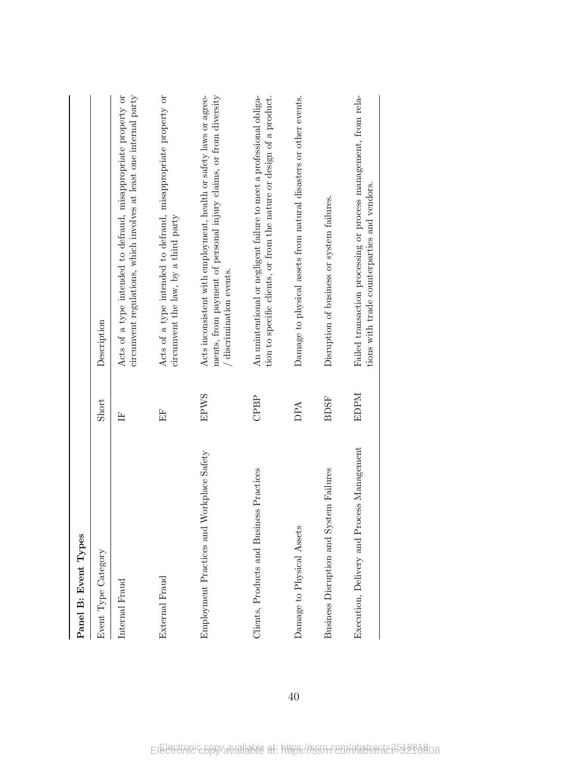| Panel B: Event Types                         |             |                                                                                                                                                                      |
|----------------------------------------------|-------------|----------------------------------------------------------------------------------------------------------------------------------------------------------------------|
| Event Type Category                          | Short       | Description                                                                                                                                                          |
| Internal Fraud                               | E           | circumvent regulations, which involves at least one internal party<br>Acts of a type intended to defraud, misappropriate property or                                 |
| External Fraud                               | 臣           | Acts of a type intended to defraud, misappropriate property or<br>circumvent the law, by a third party                                                               |
| Workplace Safety<br>Employment Practices and | <b>EPWS</b> | ments, from payment of personal injury claims, or from diversity<br>Acts inconsistent with employment, health or safety laws or agree-<br>$/$ discrimination events. |
| Clients, Products and Business Practices     | CPBP        | tion to specific clients, or from the nature or design of a product.<br>An unintentional or negligent failure to meet a professional obliga-                         |
| Damage to Physical Assets                    | DPA         | Damage to physical assets from natural disasters or other events.                                                                                                    |
| Business Disruption and System Failures      | <b>BDSF</b> | Disruption of business or system failures.                                                                                                                           |
| Execution, Delivery and Process Management   | EDPM        | Failed transaction processing or process management, from rela-<br>tions with trade counterparties and vendors.                                                      |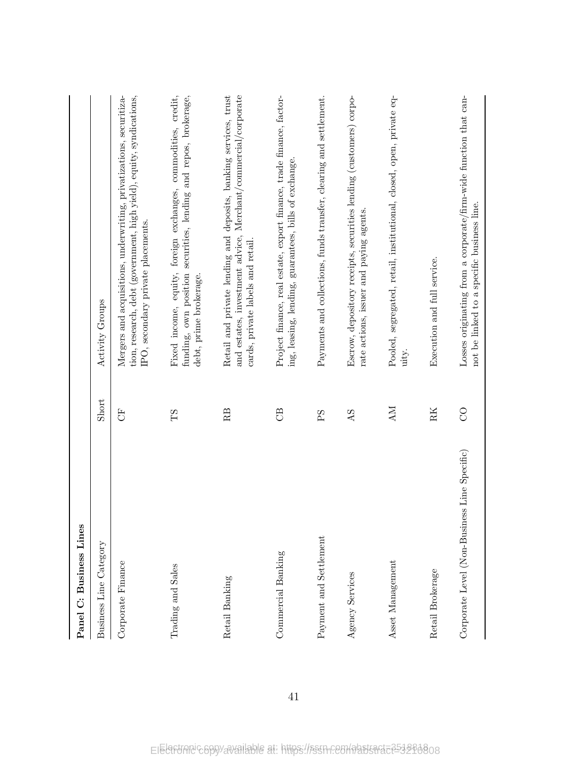| Panel C: Business Lines                      |          |                                                                                                                                                                                   |
|----------------------------------------------|----------|-----------------------------------------------------------------------------------------------------------------------------------------------------------------------------------|
| Business Line Category                       | Short    | Activity Groups                                                                                                                                                                   |
| Corporate Finance                            | 5        | Mergers and acquisitions, underwriting, privatizations, securitiza-<br>tion, research, debt (government, high yield), equity, syndications,<br>IPO, secondary private placements. |
| Trading and Sales                            | ТS       | Fixed income, equity, foreign exchanges, commodities, credit,<br>funding, own position securities, lending and repos, brokerage,<br>debt, prime brokerage.                        |
| Retail Banking                               | RB       | and estates, investment advice, Merchant/commercial/corporate<br>Retail and private lending and deposits, banking services, trust<br>cards, private labels and retail.            |
| Commercial Banking                           | <b>B</b> | Project finance, real estate, export finance, trade finance, factor-<br>ing, leasing, lending, guarantees, bills of exchange.                                                     |
| Payment and Settlement                       | PS       | Payments and collections, funds transfer, clearing and settlement.                                                                                                                |
| Agency Services                              | AS       | Escrow, depository receipts, securities lending (customers) corpo-<br>rate actions, issuer and paying agents.                                                                     |
| Asset Management                             | NИ       | Pooled, segregated, retail, institutional, closed, open, private eq-<br>uity.                                                                                                     |
| Retail Brokerage                             | RK       | Execution and full service.                                                                                                                                                       |
| Corporate Level (Non-Business Line Specific) | $\infty$ | Losses originating from a corporate/firm-wide function that can-<br>not be linked to a specific business line.                                                                    |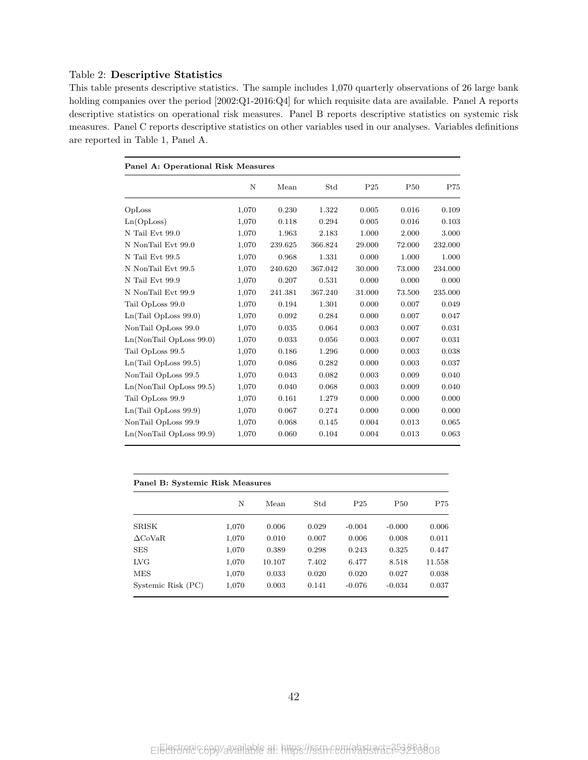### Table 2: Descriptive Statistics

This table presents descriptive statistics. The sample includes 1,070 quarterly observations of 26 large bank holding companies over the period [2002:Q1-2016:Q4] for which requisite data are available. Panel A reports descriptive statistics on operational risk measures. Panel B reports descriptive statistics on systemic risk measures. Panel C reports descriptive statistics on other variables used in our analyses. Variables definitions are reported in Table 1, Panel A.

| Panel A: Operational Risk Measures |       |         |         |                 |                 |         |
|------------------------------------|-------|---------|---------|-----------------|-----------------|---------|
|                                    | N     | Mean    | Std     | P <sub>25</sub> | P <sub>50</sub> | P75     |
| OpLoss                             | 1,070 | 0.230   | 1.322   | 0.005           | 0.016           | 0.109   |
| Ln(OpLoss)                         | 1,070 | 0.118   | 0.294   | 0.005           | 0.016           | 0.103   |
| N Tail Evt 99.0                    | 1,070 | 1.963   | 2.183   | 1.000           | 2.000           | 3.000   |
| N NonTail Evt 99.0                 | 1,070 | 239.625 | 366.824 | 29.000          | 72.000          | 232.000 |
| N Tail Evt 99.5                    | 1,070 | 0.968   | 1.331   | 0.000           | 1.000           | 1.000   |
| N NonTail Evt 99.5                 | 1,070 | 240.620 | 367.042 | 30.000          | 73.000          | 234.000 |
| N Tail Evt 99.9                    | 1,070 | 0.207   | 0.531   | 0.000           | 0.000           | 0.000   |
| N NonTail Evt 99.9                 | 1,070 | 241.381 | 367.240 | 31.000          | 73.500          | 235.000 |
| Tail OpLoss 99.0                   | 1,070 | 0.194   | 1.301   | 0.000           | 0.007           | 0.049   |
| Ln(Tail OpLoss 99.0)               | 1,070 | 0.092   | 0.284   | 0.000           | 0.007           | 0.047   |
| NonTail OpLoss 99.0                | 1,070 | 0.035   | 0.064   | 0.003           | 0.007           | 0.031   |
| $Ln(NonTail$ OpLoss $99.0)$        | 1,070 | 0.033   | 0.056   | 0.003           | 0.007           | 0.031   |
| Tail OpLoss 99.5                   | 1,070 | 0.186   | 1.296   | 0.000           | 0.003           | 0.038   |
| Ln(Tail OpLoss 99.5)               | 1,070 | 0.086   | 0.282   | 0.000           | 0.003           | 0.037   |
| NonTail OpLoss 99.5                | 1,070 | 0.043   | 0.082   | 0.003           | 0.009           | 0.040   |
| Ln(NonTail OpLoss 99.5)            | 1,070 | 0.040   | 0.068   | 0.003           | 0.009           | 0.040   |
| Tail OpLoss 99.9                   | 1,070 | 0.161   | 1.279   | 0.000           | 0.000           | 0.000   |
| Ln(Tail OpLoss 99.9)               | 1,070 | 0.067   | 0.274   | 0.000           | 0.000           | 0.000   |
| NonTail OpLoss 99.9                | 1,070 | 0.068   | 0.145   | 0.004           | 0.013           | 0.065   |
| Ln(NonTail OpLoss 99.9)            | 1,070 | 0.060   | 0.104   | 0.004           | 0.013           | 0.063   |

| Panel B: Systemic Risk Measures |       |        |       |                 |            |        |
|---------------------------------|-------|--------|-------|-----------------|------------|--------|
|                                 | N     | Mean   | Std   | P <sub>25</sub> | <b>P50</b> | P75    |
| <b>SRISK</b>                    | 1,070 | 0.006  | 0.029 | $-0.004$        | $-0.000$   | 0.006  |
| $\Delta$ CoVaR                  | 1,070 | 0.010  | 0.007 | 0.006           | 0.008      | 0.011  |
| <b>SES</b>                      | 1,070 | 0.389  | 0.298 | 0.243           | 0.325      | 0.447  |
| <b>LVG</b>                      | 1,070 | 10.107 | 7.402 | 6.477           | 8.518      | 11.558 |
| <b>MES</b>                      | 1,070 | 0.033  | 0.020 | 0.020           | 0.027      | 0.038  |
| Systemic Risk (PC)              | 1,070 | 0.003  | 0.141 | $-0.076$        | $-0.034$   | 0.037  |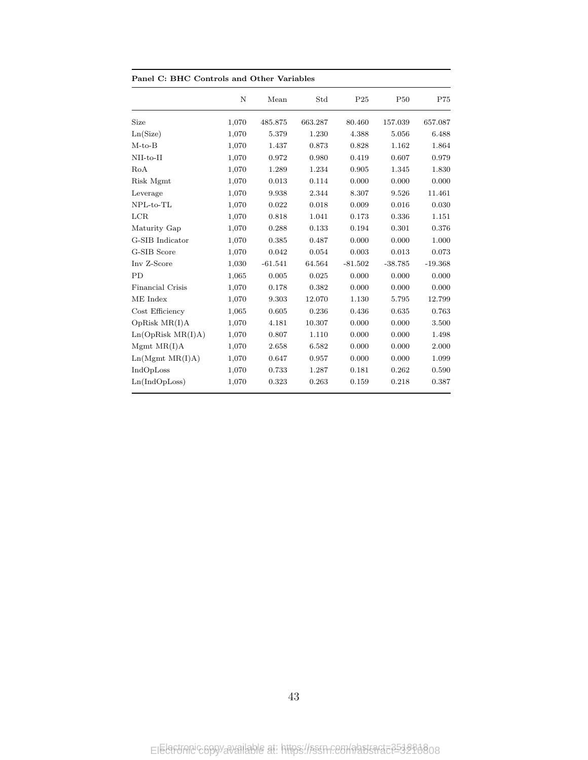| Panel C: BHC Controls and Other Variables |           |         |                 |                 |           |  |  |  |
|-------------------------------------------|-----------|---------|-----------------|-----------------|-----------|--|--|--|
| $\mathbf N$                               | Mean      | Std     | P <sub>25</sub> | P <sub>50</sub> | P75       |  |  |  |
| Size<br>1,070                             | 485.875   | 663.287 | 80.460          | 157.039         | 657.087   |  |  |  |
| Ln(Size)<br>1,070                         | 5.379     | 1.230   | 4.388           | 5.056           | 6.488     |  |  |  |
| $M-to-B$<br>1,070                         | 1.437     | 0.873   | 0.828           | 1.162           | 1.864     |  |  |  |
| $NII-to-II$<br>1,070                      | 0.972     | 0.980   | 0.419           | 0.607           | 0.979     |  |  |  |
| RoA<br>1,070                              | 1.289     | 1.234   | 0.905           | 1.345           | 1.830     |  |  |  |
| Risk Mgmt<br>1,070                        | 0.013     | 0.114   | 0.000           | 0.000           | 0.000     |  |  |  |
| Leverage<br>1,070                         | 9.938     | 2.344   | 8.307           | 9.526           | 11.461    |  |  |  |
| NPL-to-TL<br>1,070                        | 0.022     | 0.018   | 0.009           | 0.016           | 0.030     |  |  |  |
| LCR<br>1,070                              | 0.818     | 1.041   | 0.173           | 0.336           | 1.151     |  |  |  |
| Maturity Gap<br>1,070                     | 0.288     | 0.133   | 0.194           | 0.301           | 0.376     |  |  |  |
| G-SIB Indicator<br>1,070                  | 0.385     | 0.487   | 0.000           | 0.000           | 1.000     |  |  |  |
| G-SIB Score<br>1,070                      | 0.042     | 0.054   | 0.003           | 0.013           | 0.073     |  |  |  |
| Inv Z-Score<br>1,030                      | $-61.541$ | 64.564  | $-81.502$       | $-38.785$       | $-19.368$ |  |  |  |
| PD<br>1,065                               | 0.005     | 0.025   | 0.000           | 0.000           | 0.000     |  |  |  |
| <b>Financial Crisis</b><br>1,070          | 0.178     | 0.382   | 0.000           | 0.000           | 0.000     |  |  |  |
| ME Index<br>1,070                         | 9.303     | 12.070  | 1.130           | 5.795           | 12.799    |  |  |  |
| Cost Efficiency<br>1,065                  | 0.605     | 0.236   | 0.436           | 0.635           | 0.763     |  |  |  |
| OpRisk MR(I)A<br>1,070                    | 4.181     | 10.307  | 0.000           | 0.000           | 3.500     |  |  |  |
| Ln(OpRisk MR(I)A)<br>1,070                | 0.807     | 1.110   | 0.000           | 0.000           | 1.498     |  |  |  |
| Mgmt MR(I)A<br>1,070                      | 2.658     | 6.582   | 0.000           | 0.000           | 2.000     |  |  |  |
| Ln(Mgmt MR(I)A)<br>1,070                  | 0.647     | 0.957   | 0.000           | 0.000           | 1.099     |  |  |  |
| IndOpLoss<br>1,070                        | 0.733     | 1.287   | 0.181           | 0.262           | 0.590     |  |  |  |
| Ln(IndOpLoss)<br>1,070                    | 0.323     | 0.263   | 0.159           | 0.218           | 0.387     |  |  |  |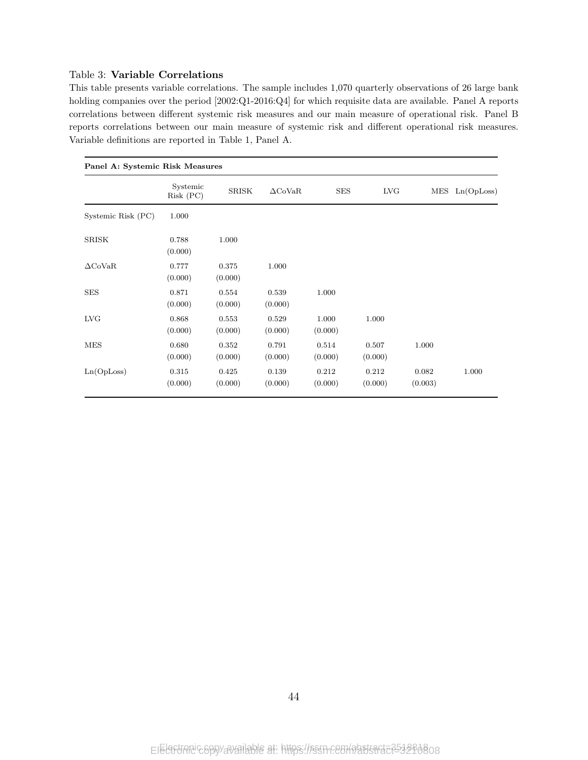### Table 3: Variable Correlations

This table presents variable correlations. The sample includes 1,070 quarterly observations of 26 large bank holding companies over the period [2002:Q1-2016:Q4] for which requisite data are available. Panel A reports correlations between different systemic risk measures and our main measure of operational risk. Panel B reports correlations between our main measure of systemic risk and different operational risk measures. Variable definitions are reported in Table 1, Panel A.

| Panel A: Systemic Risk Measures |                       |                  |                  |                  |                  |                  |                    |
|---------------------------------|-----------------------|------------------|------------------|------------------|------------------|------------------|--------------------|
|                                 | Systemic<br>Risk (PC) | SRISK            | $\Delta$ CoVaR   | <b>SES</b>       | <b>LVG</b>       |                  | $MES$ $Ln(OpLoss)$ |
| Systemic Risk (PC)              | 1.000                 |                  |                  |                  |                  |                  |                    |
| SRISK                           | 0.788<br>(0.000)      | 1.000            |                  |                  |                  |                  |                    |
| $\Delta$ CoVaR                  | 0.777<br>(0.000)      | 0.375<br>(0.000) | 1.000            |                  |                  |                  |                    |
| <b>SES</b>                      | 0.871<br>(0.000)      | 0.554<br>(0.000) | 0.539<br>(0.000) | 1.000            |                  |                  |                    |
| LVG                             | 0.868<br>(0.000)      | 0.553<br>(0.000) | 0.529<br>(0.000) | 1.000<br>(0.000) | 1.000            |                  |                    |
| <b>MES</b>                      | 0.680<br>(0.000)      | 0.352<br>(0.000) | 0.791<br>(0.000) | 0.514<br>(0.000) | 0.507<br>(0.000) | 1.000            |                    |
| Ln(OpLoss)                      | 0.315<br>(0.000)      | 0.425<br>(0.000) | 0.139<br>(0.000) | 0.212<br>(0.000) | 0.212<br>(0.000) | 0.082<br>(0.003) | 1.000              |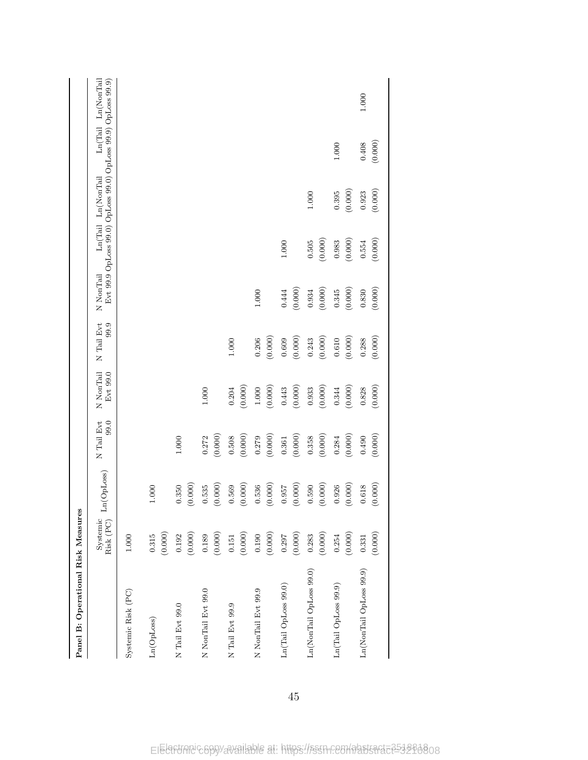| Panel B: Operational Risk Measures |                       |                  |                    |                       |                        |                  |                                                                                    |                    |           |
|------------------------------------|-----------------------|------------------|--------------------|-----------------------|------------------------|------------------|------------------------------------------------------------------------------------|--------------------|-----------|
|                                    | Systemic<br>Risk (PC) | Ln(OpLoss)       | N Tail Evt<br>99.0 | N NonTail<br>Evt 99.0 | N Tail Evt<br>99.9     | N NonTail        | Evt 99.9 OpLoss 99.0) OpLoss 99.0) OpLoss 99.9) OpLoss 99.9)<br>Ln(Tail Ln(NonTail | Ln(Tail Ln(NonTail |           |
| Systemic Risk (PC)                 | $1.000\,$             |                  |                    |                       |                        |                  |                                                                                    |                    |           |
| Ln(OpLoss)                         | (0.000)<br>$0.315\,$  | $1.000\,$        |                    |                       |                        |                  |                                                                                    |                    |           |
| N Tail Evt 99.0                    | (0.000)<br>0.192      | (0.000)<br>0.350 | $1.000\,$          |                       |                        |                  |                                                                                    |                    |           |
| N NonTail Evt 99.0                 | (0.000)<br>0.189      | (0.000)<br>0.535 | (0.000)<br>0.272   | $1.000\,$             |                        |                  |                                                                                    |                    |           |
| N Tail Evt 99.9                    | (0.000)<br>$0.151\,$  | (0.000)<br>0.569 | (0.000)<br>0.508   | (0.000)<br>0.204      | $1.000\,$              |                  |                                                                                    |                    |           |
| N NonTail Evt 99.9                 | (0.000)<br>0.190      | (0.000)<br>0.536 | (0.000)<br>0.279   | (0.000)<br>$1.000\,$  | $(0.000)$<br>$0.206\,$ | $1.000\,$        |                                                                                    |                    |           |
| Ln(Tail OpLoss 99.0)               | (0.000)<br>0.297      | (0.000)<br>0.957 | (0.000)<br>0.361   | (0.000)<br>0.443      | (0.000)<br>$\,0.609\,$ | (0.000)<br>0.444 | $1.000\,$                                                                          |                    |           |
| Ln(NonTail OpLoss 99.0)            | (0.000)<br>0.283      | (0.000)<br>0.590 | (0.000)<br>0.358   | (0.000)<br>0.933      | (0.000)<br>0.243       | (0.000)<br>0.934 | 1.000<br>(0.000)<br>0.505                                                          |                    |           |
| Ln(Tail OpLoss 99.9)               | (0.000)<br>0.254      | (0.000)<br>0.926 | (0.000)<br>0.284   | (0.000)<br>0.344      | (0.000)<br>$0.610\,$   | (0.000)<br>0.345 | (0.000)<br>0.395<br>(0.000)<br>0.983                                               | $1.000\,$          |           |
| Ln(NonTail OpLoss 99.9)            | (0.000)<br>0.331      | (0.000)<br>0.618 | (0.000)<br>0.490   | (0.000)<br>0.828      | (0.000)<br>0.288       | (0.000)<br>0.830 | (0.000)<br>0.923<br>(0.000)<br>$0.554\,$                                           | (0.000)<br>0.408   | $1.000\,$ |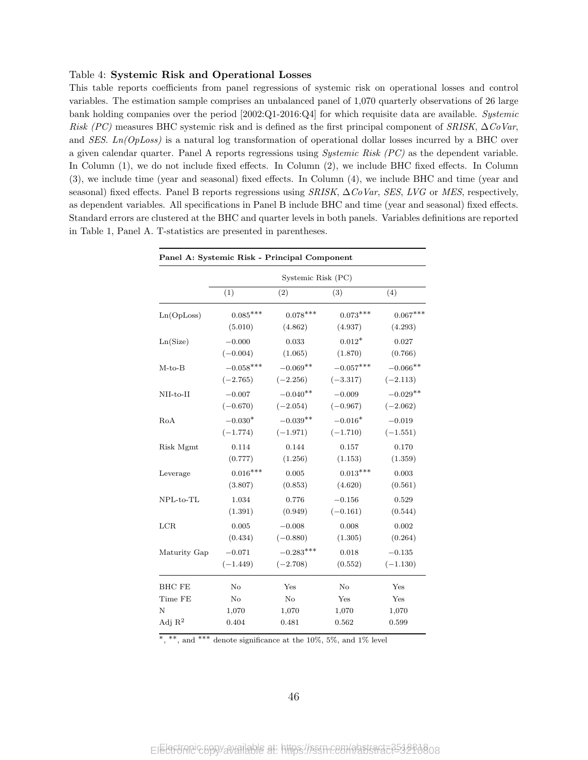### Table 4: Systemic Risk and Operational Losses

This table reports coefficients from panel regressions of systemic risk on operational losses and control variables. The estimation sample comprises an unbalanced panel of 1,070 quarterly observations of 26 large bank holding companies over the period [2002:Q1-2016:Q4] for which requisite data are available. Systemic Risk (PC) measures BHC systemic risk and is defined as the first principal component of SRISK,  $\Delta CoVar$ , and SES. Ln(OpLoss) is a natural log transformation of operational dollar losses incurred by a BHC over a given calendar quarter. Panel A reports regressions using *Systemic Risk (PC)* as the dependent variable. In Column (1), we do not include fixed effects. In Column (2), we include BHC fixed effects. In Column (3), we include time (year and seasonal) fixed effects. In Column (4), we include BHC and time (year and seasonal) fixed effects. Panel B reports regressions using SRISK,  $\Delta CoVar$ , SES, LVG or MES, respectively, as dependent variables. All specifications in Panel B include BHC and time (year and seasonal) fixed effects. Standard errors are clustered at the BHC and quarter levels in both panels. Variables definitions are reported in Table 1, Panel A. T-statistics are presented in parentheses.

| Panel A: Systemic Risk - Principal Component |             |                    |             |            |  |  |  |
|----------------------------------------------|-------------|--------------------|-------------|------------|--|--|--|
|                                              |             | Systemic Risk (PC) |             |            |  |  |  |
|                                              | (1)         | (2)                | (3)         | (4)        |  |  |  |
| Ln(OpLoss)                                   | $0.085***$  | $0.078***$         | $0.073***$  | $0.067***$ |  |  |  |
|                                              | (5.010)     | (4.862)            | (4.937)     | (4.293)    |  |  |  |
| Ln(Size)                                     | $-0.000$    | 0.033              | $0.012*$    | 0.027      |  |  |  |
|                                              | $(-0.004)$  | (1.065)            | (1.870)     | (0.766)    |  |  |  |
| $M-to-B$                                     | $-0.058***$ | $-0.069**$         | $-0.057***$ | $-0.066**$ |  |  |  |
|                                              | $(-2.765)$  | $(-2.256)$         | $(-3.317)$  | $(-2.113)$ |  |  |  |
| $NII-to-II$                                  | $-0.007$    | $-0.040**$         | $-0.009$    | $-0.029**$ |  |  |  |
|                                              | $(-0.670)$  | $(-2.054)$         | $(-0.967)$  | $(-2.062)$ |  |  |  |
| RoA                                          | $-0.030*$   | $-0.039**$         | $-0.016*$   | $-0.019$   |  |  |  |
|                                              | $(-1.774)$  | $(-1.971)$         | $(-1.710)$  | $(-1.551)$ |  |  |  |
| Risk Mgmt                                    | 0.114       | 0.144              | 0.157       | 0.170      |  |  |  |
|                                              | (0.777)     | (1.256)            | (1.153)     | (1.359)    |  |  |  |
| Leverage                                     | $0.016***$  | 0.005              | $0.013***$  | 0.003      |  |  |  |
|                                              | (3.807)     | (0.853)            | (4.620)     | (0.561)    |  |  |  |
| $NPL-to-TL$                                  | 1.034       | 0.776              | $-0.156$    | 0.529      |  |  |  |
|                                              | (1.391)     | (0.949)            | $(-0.161)$  | (0.544)    |  |  |  |
| LCR                                          | 0.005       | $-0.008$           | 0.008       | 0.002      |  |  |  |
|                                              | (0.434)     | $(-0.880)$         | (1.305)     | (0.264)    |  |  |  |
| Maturity Gap                                 | $-0.071$    | $-0.283***$        | 0.018       | $-0.135$   |  |  |  |
|                                              | $(-1.449)$  | $(-2.708)$         | (0.552)     | $(-1.130)$ |  |  |  |
| BHC FE                                       | No          | Yes                | No          | Yes        |  |  |  |
| Time FE                                      | No          | $\rm No$           | Yes         | Yes        |  |  |  |
| N                                            | 1,070       | 1,070              | 1,070       | 1,070      |  |  |  |
| Adj $\mathbb{R}^2$                           | 0.404       | 0.481              | 0.562       | 0.599      |  |  |  |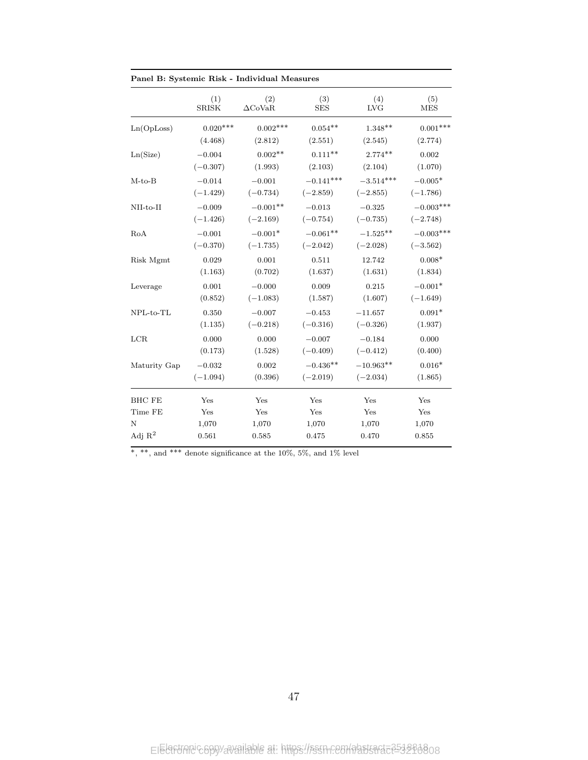| Panel B: Systemic Risk - Individual Measures |                        |                        |                           |                           |                         |
|----------------------------------------------|------------------------|------------------------|---------------------------|---------------------------|-------------------------|
|                                              | (1)<br><b>SRISK</b>    | (2)<br>$\Delta$ CoVaR  | (3)<br><b>SES</b>         | (4)<br><b>LVG</b>         | (5)<br><b>MES</b>       |
| Ln(OpLoss)                                   | $0.020***$             | $0.002***$             | $0.054**$                 | $1.348**$                 | $0.001***$              |
|                                              | (4.468)                | (2.812)                | (2.551)                   | (2.545)                   | (2.774)                 |
| Ln(Size)                                     | $-0.004$               | $0.002**$              | $0.111**$                 | $2.774**$                 | 0.002                   |
|                                              | $(-0.307)$             | (1.993)                | (2.103)                   | (2.104)                   | (1.070)                 |
| $M-to-B$                                     | $-0.014$<br>$(-1.429)$ | $-0.001$<br>$(-0.734)$ | $-0.141***$<br>$(-2.859)$ | $-3.514***$<br>$(-2.855)$ | $-0.005*$<br>$(-1.786)$ |
| $NII-to-II$                                  | $-0.009$               | $-0.001**$             | $-0.013$                  | $-0.325$                  | $-0.003***$             |
|                                              | $(-1.426)$             | $(-2.169)$             | $(-0.754)$                | $(-0.735)$                | $(-2.748)$              |
| RoA                                          | $-0.001$               | $-0.001*$              | $-0.061**$                | $-1.525***$               | $-0.003***$             |
|                                              | $(-0.370)$             | $(-1.735)$             | $(-2.042)$                | $(-2.028)$                | $(-3.562)$              |
| Risk Mgmt                                    | 0.029<br>(1.163)       | 0.001<br>(0.702)       | 0.511<br>(1.637)          | 12.742<br>(1.631)         | $0.008*$<br>(1.834)     |
| Leverage                                     | 0.001                  | $-0.000$               | 0.009                     | 0.215                     | $-0.001*$               |
|                                              | (0.852)                | $(-1.083)$             | (1.587)                   | (1.607)                   | $(-1.649)$              |
| $NPL-to-TL$                                  | 0.350<br>(1.135)       | $-0.007$<br>$(-0.218)$ | $-0.453$<br>$(-0.316)$    | $-11.657$<br>$(-0.326)$   | $0.091*$<br>(1.937)     |
| LCR                                          | 0.000<br>(0.173)       | 0.000<br>(1.528)       | $-0.007$<br>$(-0.409)$    | $-0.184$<br>$(-0.412)$    | 0.000<br>(0.400)        |
| Maturity Gap                                 | $-0.032$<br>$(-1.094)$ | 0.002<br>(0.396)       | $-0.436**$<br>$(-2.019)$  | $-10.963**$<br>$(-2.034)$ | $0.016*$<br>(1.865)     |
| <b>BHC FE</b>                                | Yes                    | Yes                    | Yes                       | Yes                       | Yes                     |
| Time FE                                      | Yes                    | Yes                    | Yes                       | Yes                       | Yes                     |
| N                                            | 1,070                  | 1,070                  | 1,070                     | 1,070                     | 1,070                   |
| Adj $R^2$                                    | 0.561                  | 0.585                  | 0.475                     | 0.470                     | 0.855                   |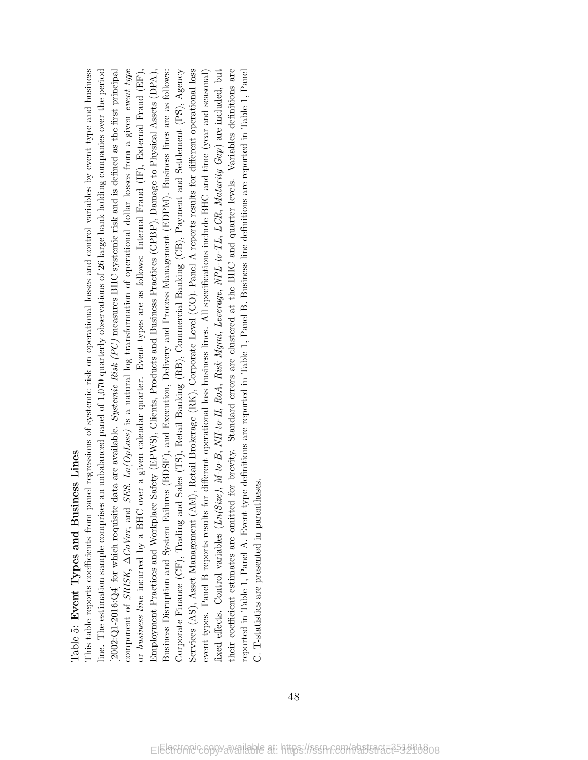## Dable 5: Event Types and Business Lines Table 5: Event Types and Business Lines

component of SRISK,  $\Delta CoVar$ , and SES.  $Ln(OpLoss)$  is a natural log transformation of operational dollar losses from a given event type This table reports coefficients from panel regressions of systemic risk on operational losses and control variables by event type and business  $2002:Q1-2016:Q4$  for which requisite data are available. Systemic Risk (PC) measures BHC systemic risk and is defined as the first principal or *business line* incurred by a BHC over a given calendar quarter. Event types are as follows: Internal Fraud (IF), External Fraud (EF), Corporate Finance (CF), Trading and Sales (TS), Retail Banking (RB), Commercial Banking (CB), Payment and Settlement (PS), Agency Services (AS), Asset Management (AM), Retail Brokerage (RK), Corporate Level (CO). Panel A reports results for different operational loss fixed effects. Control variables (Ln(Size), M-to-B, NII-to-II, RoA, Risk Mgmt, Leverage, NPL-to-TL, LCR, Maturity Gap) are included, but heir coefficient estimates are omitted for brevity. Standard errors are clustered at the BHC and quarter levels. Variables definitions are reported in Table 1, Panel A. Event type definitions are reported in Table 1, Panel B. Business line definitions are reported in Table 1, Panel This table reports coefficients from panel regressions of systemic risk on operational losses and control variables by event type and business ine. The estimation sample comprises an unbalanced panel of 1,070 quarterly observations of 26 large bank holding companies over the period line. The estimation sample comprises an unbalanced panel of 1,070 quarterly observations of 26 large bank holding companies over the period [2002:Q1-2016:Q4] for which requisite data are available. Systemic Risk (PC) measures BHC systemic risk and is defined as the first principal component of SRISK, ∆CoVar, and SES. Ln(OpLoss) is a natural log transformation of operational dollar losses from a given event type Employment Practices and Workplace Safety (EPWS), Clients, Products and Business Practices (CPBP), Damage to Physical Assets (DPA), Business Disruption and System Failures (BDSF), and Execution, Delivery and Process Management (EDPM). Business lines are as follows: Corporate Finance (CF), Trading and Sales (TS), Retail Banking (RB), Commercial Banking (CB), Payment and Settlement (PS), Agency Services (AS), Asset Management (AM), Retail Brokerage (RK), Corporate Level (CO). Panel A reports results for different operational loss event types. Panel B reports results for different operational loss business lines. All specifications include BHC and time (year and seasonal) fixed effects. Control variables (Ln(Size), M-to-B, NII-to-II, RoA, Risk Mgmt, Leverage, NPL-to-TL, LCR, Maturity Gap) are included, but their coefficient estimates are omitted for brevity. Standard errors are clustered at the BHC and quarter levels. Variables definitions are reported in Table 1, Panel A. Event type definitions are reported in Table 1, Panel B. Business line definitions are reported in Table 1, Panel or business line incurred by a BHC over a given calendar quarter. Event types are as follows: Internal Fraud (IF), External Fraud (EF), Employment Practices and Workplace Safety (EPWS), Clients, Products and Business Practices (CPBP), Damage to Physical Assets (DPA), Business Disruption and System Failures (BDSF), and Execution, Delivery and Process Management (EDPM). Business lines are as follows: event types. Panel B reports results for different operational loss business lines. All specifications include BHC and time (year and seasonal) C. T-statistics are presented in parentheses. C. T-statistics are presented in parentheses.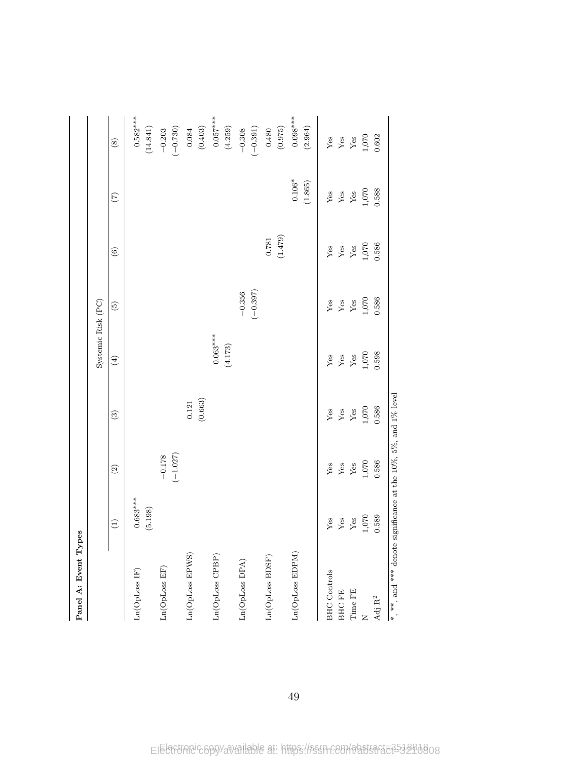| Panel A: Event Types                                                           |                       |                        |                      |                       |                          |                  |                     |                        |
|--------------------------------------------------------------------------------|-----------------------|------------------------|----------------------|-----------------------|--------------------------|------------------|---------------------|------------------------|
|                                                                                |                       |                        |                      | Systemic Risk (PC)    |                          |                  |                     |                        |
|                                                                                | $\widehat{\Xi}$       | $\odot$                | $\mathfrak{S}$       | $\bigoplus$           | $\widetilde{\mathbf{G}}$ | $\odot$          | $\mathfrak{S}$      | $\circledast$          |
| Ln(OpLoss IF)                                                                  | $0.683***$<br>(5.198) |                        |                      |                       |                          |                  |                     | $0.582***$<br>(14.841) |
| Ln(OpLoss EF)                                                                  |                       | $(-1.027)$<br>$-0.178$ |                      |                       |                          |                  |                     | $(-0.730)$<br>$-0.203$ |
| Ln(OpLoss EPWS)                                                                |                       |                        | (0.663)<br>$\!0.121$ |                       |                          |                  |                     | (0.403)<br>$0.084\,$   |
| Ln(OpLoss CPBP)                                                                |                       |                        |                      | $0.063***$<br>(4.173) |                          |                  |                     | $0.057***$<br>(4.259)  |
| Ln(OpLoss DPA)                                                                 |                       |                        |                      |                       | $(-0.397)$<br>$-0.356$   |                  |                     | $(-0.391)$<br>$-0.308$ |
| Ln(OpLoss BDSF)                                                                |                       |                        |                      |                       |                          | (1.479)<br>0.781 |                     | (0.975)<br>0.480       |
| Ln(OpLoss EDPM)                                                                |                       |                        |                      |                       |                          |                  | $0.106*$<br>(1.865) | $0.098***$<br>(2.964)  |
| <b>BHC</b> Controls                                                            | ${\rm Yes}$           | ${\rm Yes}$            | ${\rm Yes}$          | Yes                   | ${\rm Yes}$              | ${\rm Yes}$      | ${\rm Yes}$         | ${\rm Yes}$            |
| BHC FE                                                                         | ${\rm Yes}$           | ${\rm Yes}$            | ${\rm Yes}$          | ${\bf Yes}$           | ${\rm Yes}$              | ${\rm Yes}$      | ${\rm Yes}$         | ${\rm Yes}$            |
| Time FE                                                                        | ${\rm Yes}$           | ${\rm Yes}$            | ${\rm Yes}$          | $\mathbf{Yes}$        | ${\rm Yes}$              | ${\rm Yes}$      | ${\rm Yes}$         | ${\rm Yes}$            |
|                                                                                | $1,070\,$             | $1,070\,$              | $1,\!070$            | 1,070                 | $1,070$                  | $1,070\,$        | 1,070               | $1,070\,$              |
| $\mathrm{Adj}\ \mathrm{R}^2$                                                   | 0.589                 | 0.586                  | 0.586                | 0.598                 | 0.586                    | 0.586            | 0.588               | 0.602                  |
| $^*$ , $^{**}$ , and $^{***}$ denote significance at the 10%, 5%, and 1% level |                       |                        |                      |                       |                          |                  |                     |                        |

49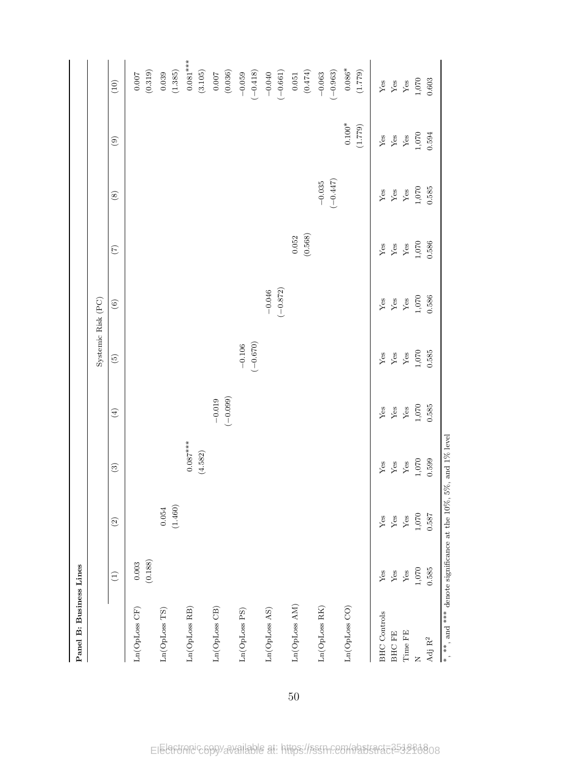| Panel B: Business Lines                                                                          |                               |                            |                            |                               |                               |                               |                            |                            |                            |                                     |
|--------------------------------------------------------------------------------------------------|-------------------------------|----------------------------|----------------------------|-------------------------------|-------------------------------|-------------------------------|----------------------------|----------------------------|----------------------------|-------------------------------------|
|                                                                                                  |                               |                            |                            |                               | Systemic Risk (PC)            |                               |                            |                            |                            |                                     |
|                                                                                                  | $\widehat{E}$                 | $\odot$                    | $\circ$                    | $\bigoplus$                   | $\widetilde{\mathfrak{G}}$    | $\odot$                       | $\widetilde{C}$            | $\circledast$              | $\odot$                    | (10)                                |
| Ln(OpLoss CF)                                                                                    | (0.188)<br>$0.003\,$          |                            |                            |                               |                               |                               |                            |                            |                            | (0.319)<br>$0.007$                  |
| $\text{Ln}(\text{OpLoss} \ \text{TS})$                                                           |                               | (1.460)<br>$\bf 0.054$     |                            |                               |                               |                               |                            |                            |                            | (1.385)<br>0.039                    |
| Ln(OpLoss RB)                                                                                    |                               |                            | $0.087***$<br>(4.582)      |                               |                               |                               |                            |                            |                            | $0.081***$<br>(3.105)               |
| $Ln(OpLoss$ $CB)$                                                                                |                               |                            |                            | $(-0.099)$<br>$-0.019$        |                               |                               |                            |                            |                            | (0.036)<br>$0.007$                  |
| Ln(OpLoss PS)                                                                                    |                               |                            |                            |                               | $(-0.670)$<br>$-0.106$        |                               |                            |                            |                            | $(-0.418)$<br>$-0.059$              |
| Ln(OpLoss AS)                                                                                    |                               |                            |                            |                               |                               | $(-0.872)$<br>$-0.046$        |                            |                            |                            | $(-0.661)$<br>$-0.040$              |
| Ln(OpLoss AM)                                                                                    |                               |                            |                            |                               |                               |                               | (0.568)<br>0.052           |                            |                            | $(0.474)$<br>$\,0.051$              |
| Ln(OpLoss RK)                                                                                    |                               |                            |                            |                               |                               |                               |                            | $(-0.447)$<br>$-0.035$     |                            | $(-0.963)$<br>$-0.063$              |
| Ln(OpLoss CO)                                                                                    |                               |                            |                            |                               |                               |                               |                            |                            | $0.100^{*}$<br>(1.779)     | $0.086^{\ast}$<br>(1.779)           |
| <b>BHC</b> Controls                                                                              | ${\rm Yes}$                   | ${\rm Yes}$                | ${\rm Yes}$                | ${\rm Yes}$                   | ${\rm Yes}$                   | ${\rm Yes}$                   | ${\rm Yes}$                | ${\rm Yes}$                | ${\rm Yes}$                | ${\rm Yes}$                         |
| Time FE<br><b>BHCFE</b>                                                                          | ${\rm Yes}$<br>$\mathbf{Yes}$ | ${\rm Yes}$<br>${\rm Yes}$ | ${\rm Yes}$<br>${\rm Yes}$ | $\mathbf{Yes}$<br>${\rm Yes}$ | $\mathbf{Yes}$<br>${\rm Yes}$ | ${\rm Yes}$<br>$\mathbf{Yes}$ | ${\rm Yes}$<br>${\rm Yes}$ | ${\rm Yes}$<br>${\rm Yes}$ | ${\rm Yes}$<br>${\rm Yes}$ | ${\rm Yes}$<br>$\operatorname{Yes}$ |
| $\overline{z}$                                                                                   | $1,\!070$                     | $1,\!070$                  | $1,\!070$                  | $1,070\,$                     | $1,070$                       | $1,070\,$                     | $1,070\,$                  | $1,\!070$                  | $1,\!070$                  | $1,\!070$                           |
| $\mathrm{Adj}\ \mathrm{R}^2$                                                                     | 0.585                         | 0.587                      | 0.599                      | 0.585                         | 0.585                         | 0.586                         | 0.586                      | 0.585                      | 0.594                      | 0.603                               |
| $^{\ast},$ $^{\ast\ast},$ and $^{\ast\ast\ast}$ denote significance at the 10%, 5%, and 1% level |                               |                            |                            |                               |                               |                               |                            |                            |                            |                                     |

50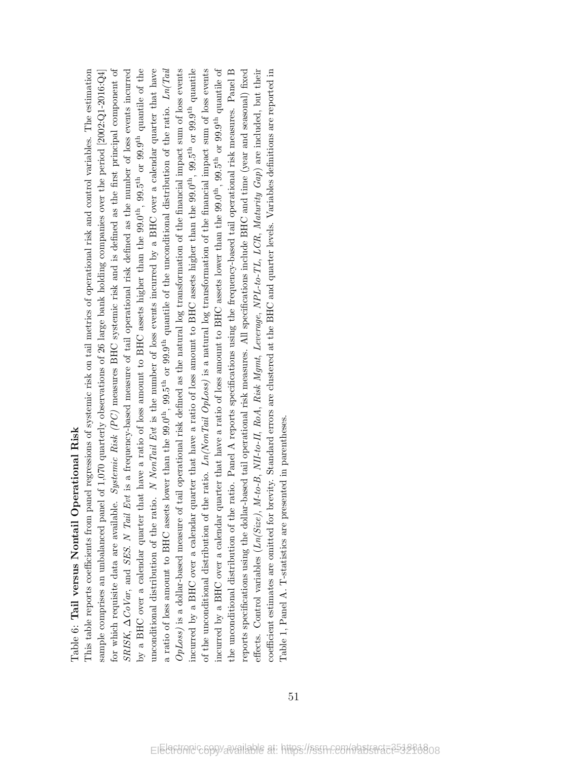# Lable 6: Tail versus Nontail Operational Risk Table 6: Tail versus Nontail Operational Risk

for which requisite data are available. Systemic Risk  $(PC)$  measures BHC systemic risk and is defined as the first principal component of ny a BHC over a calendar quarter that have a ratio of loss amount to BHC assets higher than the 99.0<sup>th</sup>, 99.5<sup>th</sup> or 99.9<sup>th</sup> quantile of the mconditional distribution of the ratio. N NonTail Evt is the number of loss events incurred by a BHC over a calendar quarter that have a ratio of loss amount to BHC assets lower than the 99.0<sup>th</sup>, 99.5<sup>th</sup> or 99.9<sup>th</sup> quantile of the unconditional distribution of the ratio.  $Ln/Tail$  $OpLoss$ ) is a dollar-based measure of tail operational risk defined as the natural log transformation of the financial impact sum of loss events incurred by a BHC over a calendar quarter that have a ratio of loss amount to BHC assets higher than the 99.0<sup>th</sup>, 99.5<sup>th</sup> or 99.9<sup>th</sup> quantile of the unconditional distribution of the ratio.  $Ln(NonTail\ OpLoss)$  is a natural log transformation of the financial impact sum of loss events neurred by a BHC over a calendar quarter that have a ratio of loss amount to BHC assets lower than the 99.0<sup>th</sup>, 99.5<sup>th</sup> or 99.9<sup>th</sup> quantile of effects. Control variables ( $Ln(Size)$ ,  $M-to-B$ ,  $NII-to-II$ ,  $RoA$ ,  $Risk$   $Mgmt$ ,  $Leverage$ ,  $NPL-to-TL$ ,  $LCR$ ,  $Maturity$   $Gap)$  are included, but their This table reports coefficients from panel regressions of systemic risk on tail metrics of operational risk and control variables. The estimation for which requisite data are available. Systemic Risk (PC) measures BHC systemic risk and is defined as the first principal component of SRISK,  $\Delta CoVar$ , and SES. N Tail Evt is a frequency-based measure of tail operational risk defined as the number of loss events incurred a ratio of loss amount to BHC assets lower than the 99.0<sup>th</sup>, 99.5<sup>th</sup> or 99.9<sup>th</sup> quantile of the unconditional distribution of the ratio.  $Ln/Tail$ incurred by a BHC over a calendar quarter that have a ratio of loss amount to BHC assets lower than the 99.0th, 99.5th or 99.9th quantile of the unconditional distribution of the ratio. Panel A reports specifications using the frequency-based tail operational risk measures. Panel B eports specifications using the dollar-based tail operational risk measures. All specifications include BHC and time (year and seasonal) fixed oefficient estimates are omitted for brevity. Standard errors are clustered at the BHC and quarter levels. Variables definitions are reported in This table reports coefficients from panel regressions of systemic risk on tail metrics of operational risk and control variables. The estimation sample comprises an unbalanced panel of 1,070 quarterly observations of 26 large bank holding companies over the period  $[2002:\text{Q1-2016}:\text{Q4}]$ SRISK,  $\Delta CoVar$ , and SES. N Tail Evt is a frequency-based measure of tail operational risk defined as the number of loss events incurred by a BHC over a calendar quarter that have a ratio of loss amount to BHC assets higher than the 99.0th, 99.5th or 99.9th quantile of the unconditional distribution of the ratio. N NonTail Evt is the number of loss events incurred by a BHC over a calendar quarter that have  $OpLoss$ ) is a dollar-based measure of tail operational risk defined as the natural log transformation of the financial impact sum of loss events incurred by a BHC over a calendar quarter that have a ratio of loss amount to BHC assets higher than the 99.0th, 99.5th or 99.9th quantile of the unconditional distribution of the ratio.  $Ln(NonTail$   $OpLoss)$  is a natural log transformation of the financial impact sum of loss events the unconditional distribution of the ratio. Panel A reports specifications using the frequency-based tail operational risk measures. Panel B reports specifications using the dollar-based tail operational risk measures. All specifications include BHC and time (year and seasonal) fixed effects. Control variables (Ln(Size), M-to-B, NII-to-II, RoA, Risk Mgmt, Leverage, NPL-to-TL, LCR, Maturity Gap) are included, but their coefficient estimates are omitted for brevity. Standard errors are clustered at the BHC and quarter levels. Variables definitions are reported in sample comprises an unbalanced panel of 1,070 quarterly observations of 26 large bank holding companies over the period [2002:Q1-2016:Q4] Table 1, Panel A. T-statistics are presented in parentheses. Table 1, Panel A. T-statistics are presented in parentheses.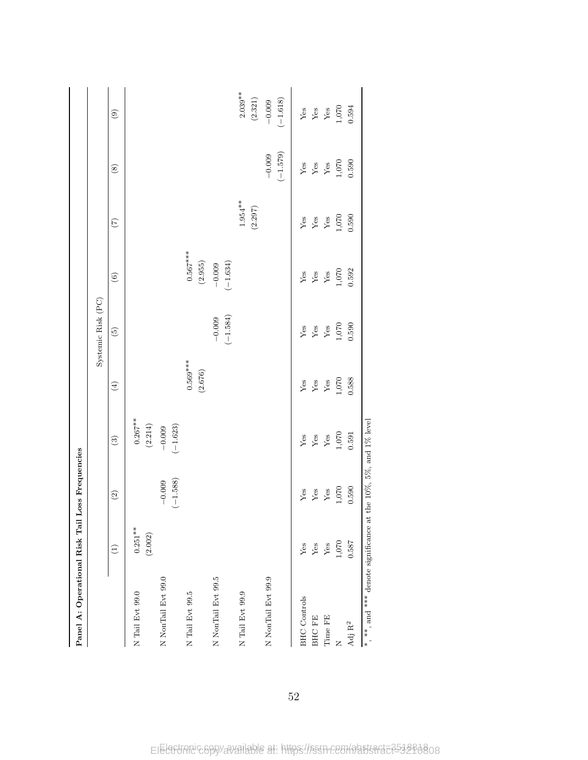| Panel A: Operational Risk Tail Loss Frequencies                 |                       |                                      |                        |                       |                          |                                     |                                   |                        |                        |
|-----------------------------------------------------------------|-----------------------|--------------------------------------|------------------------|-----------------------|--------------------------|-------------------------------------|-----------------------------------|------------------------|------------------------|
|                                                                 |                       |                                      |                        |                       | Systemic Risk (PC)       |                                     |                                   |                        |                        |
|                                                                 | $\widehat{\Xi}$       | $\odot$                              | $\odot$                | $\bigoplus$           | $\widehat{\mathfrak{S}}$ | $\odot$                             | $\begin{pmatrix} 7 \end{pmatrix}$ | $\circledast$          | $\circledcirc$         |
| N Tail Evt 99.0                                                 | $0.251***$<br>(2.002) |                                      | $0.267***$<br>(2.214)  |                       |                          |                                     |                                   |                        |                        |
| N NonTail Evt 99.0                                              |                       | $(-1.588)$<br>$-0.009$               | $(-1.623)$<br>$-0.009$ |                       |                          |                                     |                                   |                        |                        |
| N Tail Evt 99.5                                                 |                       |                                      |                        | $0.569***$<br>(2.676) |                          | $0.567***$<br>$\left( 2.955\right)$ |                                   |                        |                        |
| N NonTail Evt 99.5                                              |                       |                                      |                        |                       | $(-1.584)$<br>$-0.009$   | $(-1.634)$<br>$-0.009$              |                                   |                        |                        |
| N Tail Evt 99.9                                                 |                       |                                      |                        |                       |                          |                                     | $1.954***$<br>(2.297)             |                        | $2.039**$<br>(2.321)   |
| N NonTail Evt 99.9                                              |                       |                                      |                        |                       |                          |                                     |                                   | $(-1.579)$<br>$-0.009$ | $(-1.618)$<br>$-0.009$ |
| <b>BHC</b> Controls                                             | ${\rm Yes}$           | ${\rm Yes}$                          | ${\rm Yes}$            | ${\rm Yes}$           | ${\rm Yes}$              | ${\rm Yes}$                         | ${\rm Yes}$                       | ${\rm Yes}$            | ${\rm Yes}$            |
| BHC FE                                                          | ${\rm Yes}$           | ${\rm Yes}$                          | ${\rm Yes}$            | ${\rm Yes}$           | ${\rm Yes}$              | $\mathbf{Yes}$                      | ${\rm Yes}$                       | ${\rm Yes}$            | ${\rm Yes}$            |
| Time FE                                                         | ${\rm Yes}$           | ${\rm Yes}$                          | ${\rm Yes}$            | ${\rm Yes}$           | ${\rm Yes}$              | ${\rm Yes}$                         | ${\rm Yes}$                       | ${\rm Yes}$            | ${\rm Yes}$            |
| Z                                                               | $1,070\,$             | $1,070\,$                            | 1,070                  | $1,070$               | 1,070                    | 1,070                               | 1,070                             | $1,070$                | $1,070\,$              |
| $\rm{Adj}\;R^2$                                                 | 0.587                 | 0.590                                | 0.591                  | 0.588                 | 0.590                    | 0.592                               | 0.590                             | 0.590                  | 0.594                  |
| $\ast$ , $\ast\ast$ , and $\ast\ast\ast$ denote significance at |                       | the $10\%$ , $5\%$ , and $1\%$ level |                        |                       |                          |                                     |                                   |                        |                        |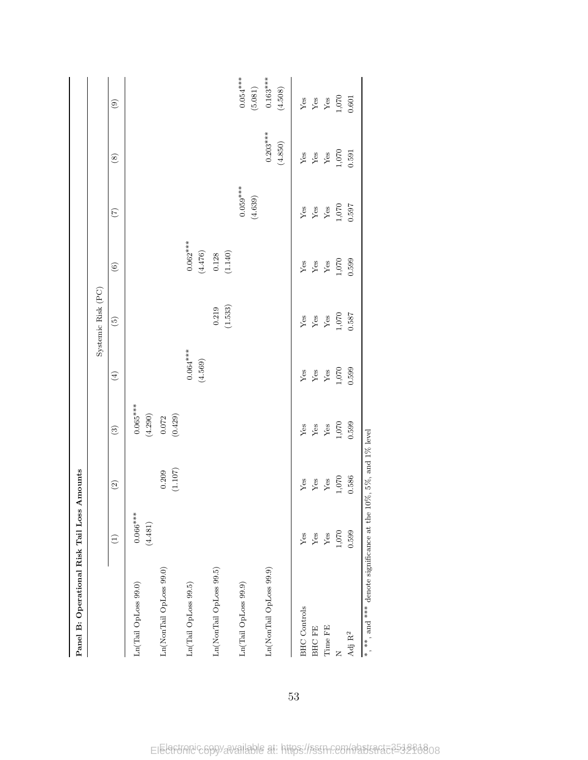| Panel B: Operational Risk Tail Loss                             |                       | Amounts                  |                       |                       |                    |                                    |                       |                       |                         |
|-----------------------------------------------------------------|-----------------------|--------------------------|-----------------------|-----------------------|--------------------|------------------------------------|-----------------------|-----------------------|-------------------------|
|                                                                 |                       |                          |                       |                       | Systemic Risk (PC) |                                    |                       |                       |                         |
|                                                                 | $\widehat{\Xi}$       | $\widehat{\mathfrak{D}}$ | $\odot$               | $\bigoplus$           | $\widetilde{5}$    | $\copyright$                       | $(\tilde{\zeta})$     | $\circledast$         | $\circledcirc$          |
| Ln(Tail OpLoss 99.0)                                            | $0.066***$<br>(4.481) |                          | $0.065***$<br>(4.290) |                       |                    |                                    |                       |                       |                         |
| Ln(NonTail OpLoss 99.0)                                         |                       | (1.107)<br>0.209         | (0.429)<br>0.072      |                       |                    |                                    |                       |                       |                         |
| Ln(Tail OpLoss 99.5)                                            |                       |                          |                       | $0.064***$<br>(4.569) |                    | $0.062***$<br>$\left(4.476\right)$ |                       |                       |                         |
| Ln(NonTail OpLoss 99.5)                                         |                       |                          |                       |                       | (1.533)<br>0.219   | (1.140)<br>$0.128\,$               |                       |                       |                         |
| Ln(Tail OpLoss 99.9)                                            |                       |                          |                       |                       |                    |                                    | $0.059***$<br>(4.639) |                       | $0.054***$<br>$(5.081)$ |
| Ln(NonTail OpLoss 99.9)                                         |                       |                          |                       |                       |                    |                                    |                       | $0.203***$<br>(4.850) | $0.163***$<br>(4.508)   |
| <b>BHC</b> Controls                                             | ${\rm Yes}$           | ${\rm Yes}$              | ${\rm Yes}$           | ${\rm Yes}$           | ${\rm Yes}$        | ${\rm Yes}$                        | ${\rm Yes}$           | ${\rm Yes}$           | ${\rm Yes}$             |
| <b>BHCFE</b>                                                    | ${\rm Yes}$           | ${\rm Yes}$              | ${\rm Yes}$           | ${\rm Yes}$           | ${\rm Yes}$        | ${\rm Yes}$                        | ${\rm Yes}$           | ${\rm Yes}$           | $\mathbf{Yes}$          |
| Time FE                                                         | ${\rm Yes}$           | ${\rm Yes}$              | ${\rm Yes}$           | ${\rm Yes}$           | ${\rm Yes}$        | ${\rm Yes}$                        | ${\rm Yes}$           | ${\rm Yes}$           | ${\rm Yes}$             |
| Z                                                               | 1,070                 | $1,070$                  | $1,070$               | $1,070$               | $1,070\,$          | 1,070                              | 1,070                 | 1,070                 | $1,070$                 |
| $\rm Adj\; R^2$                                                 | 0.599                 | 0.586                    | 0.599                 | 0.599                 | 0.587              | 0.599                              | 0.597                 | 0.591                 | 0.601                   |
| *, **, and *** denote significance at the 10%, 5%, and 1% level |                       |                          |                       |                       |                    |                                    |                       |                       |                         |

53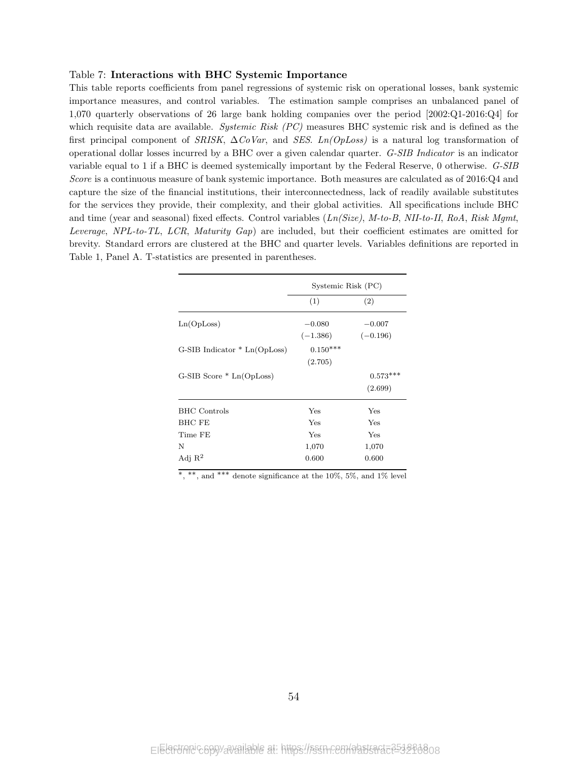### Table 7: Interactions with BHC Systemic Importance

This table reports coefficients from panel regressions of systemic risk on operational losses, bank systemic importance measures, and control variables. The estimation sample comprises an unbalanced panel of 1,070 quarterly observations of 26 large bank holding companies over the period [2002:Q1-2016:Q4] for which requisite data are available. Systemic Risk (PC) measures BHC systemic risk and is defined as the first principal component of SRISK,  $\Delta CoVar$ , and SES. Ln(OpLoss) is a natural log transformation of operational dollar losses incurred by a BHC over a given calendar quarter. G-SIB Indicator is an indicator variable equal to 1 if a BHC is deemed systemically important by the Federal Reserve, 0 otherwise. G-SIB Score is a continuous measure of bank systemic importance. Both measures are calculated as of 2016:Q4 and capture the size of the financial institutions, their interconnectedness, lack of readily available substitutes for the services they provide, their complexity, and their global activities. All specifications include BHC and time (year and seasonal) fixed effects. Control variables  $(Ln(Size), M-to-B, NII-to-II, RoA, Risk Mgmt,$ Leverage, NPL-to-TL, LCR, Maturity Gap) are included, but their coefficient estimates are omitted for brevity. Standard errors are clustered at the BHC and quarter levels. Variables definitions are reported in Table 1, Panel A. T-statistics are presented in parentheses.

|                                | Systemic Risk (PC) |            |
|--------------------------------|--------------------|------------|
|                                | (1)                | (2)        |
| Ln(OpLoss)                     | $-0.080$           | $-0.007$   |
|                                | $(-1.386)$         | $(-0.196)$ |
| $G-SIB Indicator * Ln(OpLoss)$ | $0.150***$         |            |
|                                | (2.705)            |            |
| $G-SIB Score * Ln(OpLoss)$     |                    | $0.573***$ |
|                                |                    | (2.699)    |
| <b>BHC</b> Controls            | Yes                | Yes        |
| <b>BHC FE</b>                  | Yes                | Yes        |
| Time FE                        | Yes                | Yes        |
| N                              | 1,070              | 1,070      |
| Adj $R^2$                      | 0.600              | 0.600      |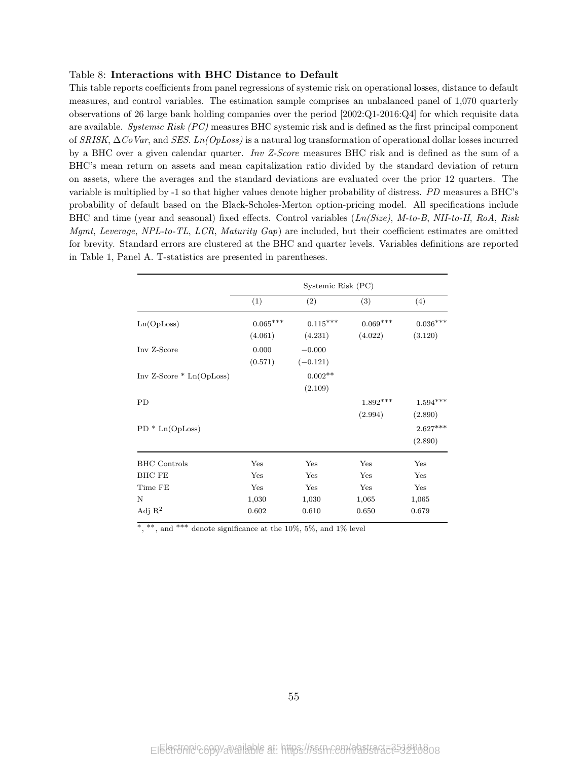### Table 8: Interactions with BHC Distance to Default

This table reports coefficients from panel regressions of systemic risk on operational losses, distance to default measures, and control variables. The estimation sample comprises an unbalanced panel of 1,070 quarterly observations of 26 large bank holding companies over the period [2002:Q1-2016:Q4] for which requisite data are available. Systemic Risk (PC) measures BHC systemic risk and is defined as the first principal component of SRISK, ∆CoVar, and SES. Ln(OpLoss) is a natural log transformation of operational dollar losses incurred by a BHC over a given calendar quarter. Inv Z-Score measures BHC risk and is defined as the sum of a BHC's mean return on assets and mean capitalization ratio divided by the standard deviation of return on assets, where the averages and the standard deviations are evaluated over the prior 12 quarters. The variable is multiplied by -1 so that higher values denote higher probability of distress. PD measures a BHC's probability of default based on the Black-Scholes-Merton option-pricing model. All specifications include BHC and time (year and seasonal) fixed effects. Control variables (Ln(Size), M-to-B, NII-to-II, RoA, Risk Mgmt, Leverage, NPL-to-TL, LCR, Maturity Gap) are included, but their coefficient estimates are omitted for brevity. Standard errors are clustered at the BHC and quarter levels. Variables definitions are reported in Table 1, Panel A. T-statistics are presented in parentheses.

|                            |                 | Systemic Risk (PC) |            |            |
|----------------------------|-----------------|--------------------|------------|------------|
|                            | (1)             | (2)                | (3)        | (4)        |
| Ln(OpLoss)                 | $0.065^{***}\,$ | $0.115***$         | $0.069***$ | $0.036***$ |
|                            | (4.061)         | (4.231)            | (4.022)    | (3.120)    |
| Inv Z-Score                | 0.000           | $-0.000$           |            |            |
|                            | (0.571)         | $(-0.121)$         |            |            |
| $Inv Z-Score * Ln(OpLoss)$ |                 | $0.002**$          |            |            |
|                            |                 | (2.109)            |            |            |
| <b>PD</b>                  |                 |                    | $1.892***$ | $1.594***$ |
|                            |                 |                    | (2.994)    | (2.890)    |
| $PD * Ln(OpLoss)$          |                 |                    |            | $2.627***$ |
|                            |                 |                    |            | (2.890)    |
| <b>BHC</b> Controls        | Yes             | Yes                | Yes        | Yes        |
| <b>BHC FE</b>              | Yes             | Yes                | Yes        | Yes        |
| Time FE                    | Yes             | Yes                | Yes        | Yes        |
| $\mathbf N$                | 1,030           | 1,030              | 1,065      | 1,065      |
| Adj $R^2$                  | 0.602           | 0.610              | 0.650      | 0.679      |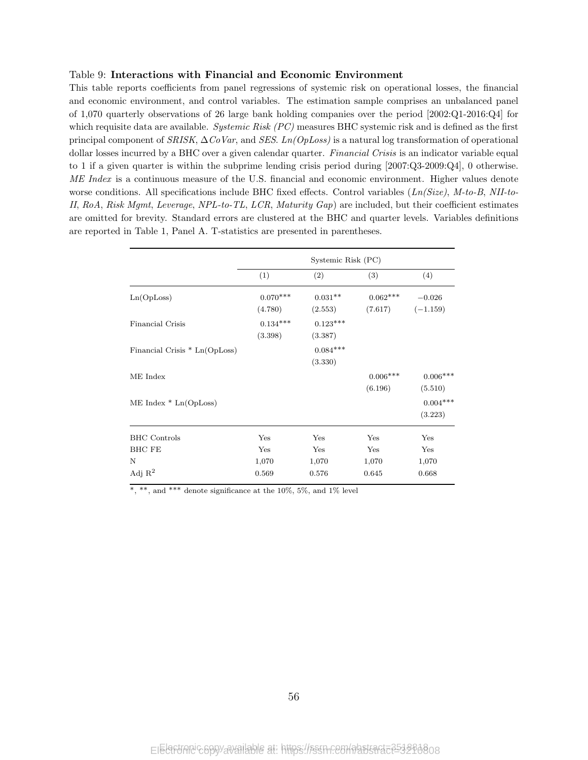### Table 9: Interactions with Financial and Economic Environment

This table reports coefficients from panel regressions of systemic risk on operational losses, the financial and economic environment, and control variables. The estimation sample comprises an unbalanced panel of 1,070 quarterly observations of 26 large bank holding companies over the period [2002:Q1-2016:Q4] for which requisite data are available. Systemic Risk  $(PC)$  measures BHC systemic risk and is defined as the first principal component of  $SRISK$ ,  $\Delta CoVar$ , and SES. Ln(OpLoss) is a natural log transformation of operational dollar losses incurred by a BHC over a given calendar quarter. *Financial Crisis* is an indicator variable equal to 1 if a given quarter is within the subprime lending crisis period during [2007:Q3-2009:Q4], 0 otherwise. ME Index is a continuous measure of the U.S. financial and economic environment. Higher values denote worse conditions. All specifications include BHC fixed effects. Control variables  $(Ln/Size)$ ,  $M-to-B$ , NII-to-II, RoA, Risk Mgmt, Leverage, NPL-to-TL, LCR, Maturity Gap) are included, but their coefficient estimates are omitted for brevity. Standard errors are clustered at the BHC and quarter levels. Variables definitions are reported in Table 1, Panel A. T-statistics are presented in parentheses.

|                               |            | Systemic Risk (PC) |            |            |
|-------------------------------|------------|--------------------|------------|------------|
|                               | (1)        | (2)                | (3)        | (4)        |
| Ln(OpLoss)                    | $0.070***$ | $0.031**$          | $0.062***$ | $-0.026$   |
|                               | (4.780)    | (2.553)            | (7.617)    | $(-1.159)$ |
| Financial Crisis              | $0.134***$ | $0.123***$         |            |            |
|                               | (3.398)    | (3.387)            |            |            |
| Financial Crisis * Ln(OpLoss) |            | $0.084***$         |            |            |
|                               |            | (3.330)            |            |            |
| ME Index                      |            |                    | $0.006***$ | $0.006***$ |
|                               |            |                    | (6.196)    | (5.510)    |
| $ME Index * Ln(OpLoss)$       |            |                    |            | $0.004***$ |
|                               |            |                    |            | (3.223)    |
| <b>BHC</b> Controls           | Yes        | Yes                | Yes        | Yes        |
| <b>BHC FE</b>                 | Yes        | Yes                | Yes        | Yes        |
| N                             | 1,070      | 1,070              | 1,070      | 1,070      |
| Adj $\mathbb{R}^2$            | 0.569      | 0.576              | 0.645      | 0.668      |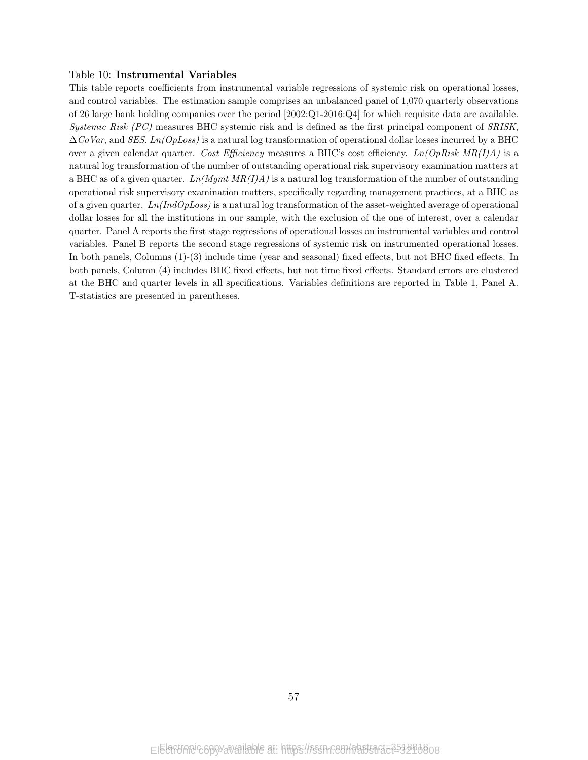### Table 10: Instrumental Variables

This table reports coefficients from instrumental variable regressions of systemic risk on operational losses, and control variables. The estimation sample comprises an unbalanced panel of 1,070 quarterly observations of 26 large bank holding companies over the period [2002:Q1-2016:Q4] for which requisite data are available. Systemic Risk (PC) measures BHC systemic risk and is defined as the first principal component of SRISK,  $\Delta CoVar$ , and SES. Ln(OpLoss) is a natural log transformation of operational dollar losses incurred by a BHC over a given calendar quarter. Cost Efficiency measures a BHC's cost efficiency.  $Ln(OpRisk MR(I)A)$  is a natural log transformation of the number of outstanding operational risk supervisory examination matters at a BHC as of a given quarter.  $Ln(Mgmt MR(I)A)$  is a natural log transformation of the number of outstanding operational risk supervisory examination matters, specifically regarding management practices, at a BHC as of a given quarter.  $Ln(IndOpLoss)$  is a natural log transformation of the asset-weighted average of operational dollar losses for all the institutions in our sample, with the exclusion of the one of interest, over a calendar quarter. Panel A reports the first stage regressions of operational losses on instrumental variables and control variables. Panel B reports the second stage regressions of systemic risk on instrumented operational losses. In both panels, Columns (1)-(3) include time (year and seasonal) fixed effects, but not BHC fixed effects. In both panels, Column (4) includes BHC fixed effects, but not time fixed effects. Standard errors are clustered at the BHC and quarter levels in all specifications. Variables definitions are reported in Table 1, Panel A. T-statistics are presented in parentheses.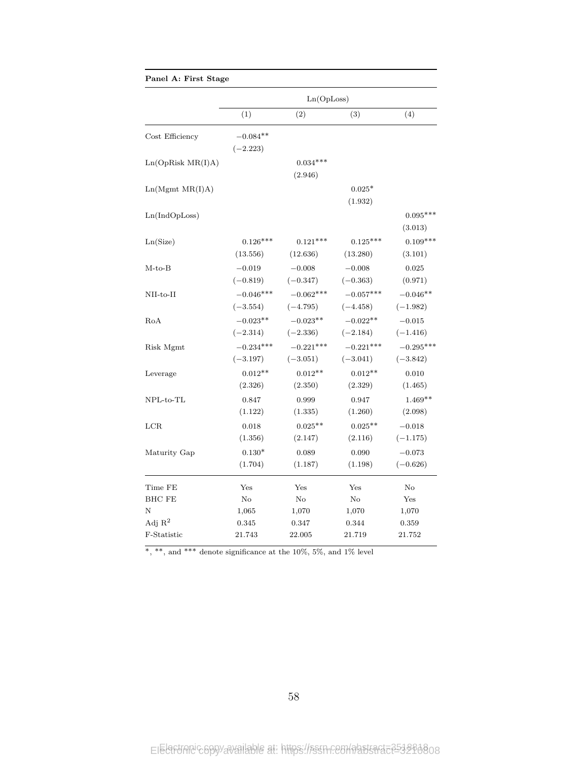| Panel A: First Stage |                           |                           |                           |                           |
|----------------------|---------------------------|---------------------------|---------------------------|---------------------------|
|                      |                           | Ln(OpLoss)                |                           |                           |
|                      | (1)                       | (2)                       | (3)                       | (4)                       |
| Cost Efficiency      | $-0.084**$<br>$(-2.223)$  |                           |                           |                           |
| Ln(OpRisk MR(I)A)    |                           | $0.034***$<br>(2.946)     |                           |                           |
| Ln(Mgmt MR(I)A)      |                           |                           | $0.025*$<br>(1.932)       |                           |
| Ln(IndOpLoss)        |                           |                           |                           | $0.095***$<br>(3.013)     |
| Ln(Size)             | $0.126***$<br>(13.556)    | $0.121***$<br>(12.636)    | $0.125***$<br>(13.280)    | $0.109***$<br>(3.101)     |
| $M$ -to- $B$         | $-0.019$<br>$(-0.819)$    | $-0.008$<br>$(-0.347)$    | $-0.008$<br>$(-0.363)$    | 0.025<br>(0.971)          |
| NII-to-II            | $-0.046***$<br>$(-3.554)$ | $-0.062***$<br>$(-4.795)$ | $-0.057***$<br>$(-4.458)$ | $-0.046**$<br>$(-1.982)$  |
| RoA                  | $-0.023**$<br>$(-2.314)$  | $-0.023**$<br>$(-2.336)$  | $-0.022**$<br>$(-2.184)$  | $-0.015$<br>$(-1.416)$    |
| Risk Mgmt            | $-0.234***$<br>$(-3.197)$ | $-0.221***$<br>$(-3.051)$ | $-0.221***$<br>$(-3.041)$ | $-0.295***$<br>$(-3.842)$ |
| Leverage             | $0.012**$<br>(2.326)      | $0.012**$<br>(2.350)      | $0.012**$<br>(2.329)      | 0.010<br>(1.465)          |
| $NPL-to-TL$          | 0.847<br>(1.122)          | 0.999<br>(1.335)          | 0.947<br>(1.260)          | $1.469**$<br>(2.098)      |
| $_{\rm LCR}$         | 0.018<br>(1.356)          | $0.025***$<br>(2.147)     | $0.025***$<br>(2.116)     | $-0.018$<br>$(-1.175)$    |
| Maturity Gap         | $0.130*$<br>(1.704)       | 0.089<br>(1.187)          | 0.090<br>(1.198)          | $-0.073$<br>$(-0.626)$    |
| Time FE              | Yes                       | Yes                       | Yes                       | No                        |
| <b>BHC FE</b>        | $\rm No$                  | No                        | No                        | Yes                       |
| N                    | 1,065                     | 1,070                     | 1,070                     | 1,070                     |
| Adj $R^2$            | 0.345                     | 0.347                     | 0.344                     | 0.359                     |
| F-Statistic          | 21.743                    | 22.005                    | 21.719                    | 21.752                    |